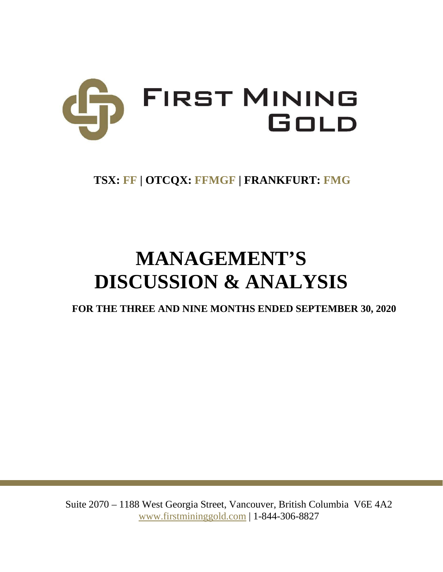

# **TSX: FF | OTCQX: FFMGF | FRANKFURT: FMG**

# **MANAGEMENT'S DISCUSSION & ANALYSIS**

**FOR THE THREE AND NINE MONTHS ENDED SEPTEMBER 30, 2020**

Suite 2070 – 1188 West Georgia Street, Vancouver, British Columbia V6E 4A2 www.firstmininggold.com | 1-844-306-8827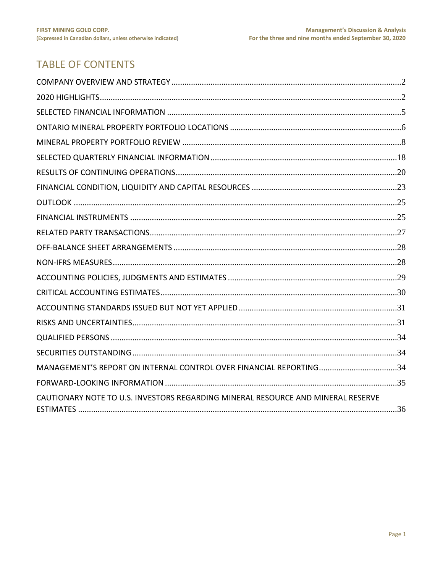# **TABLE OF CONTENTS**

| MANAGEMENT'S REPORT ON INTERNAL CONTROL OVER FINANCIAL REPORTING34               |  |
|----------------------------------------------------------------------------------|--|
|                                                                                  |  |
| CAUTIONARY NOTE TO U.S. INVESTORS REGARDING MINERAL RESOURCE AND MINERAL RESERVE |  |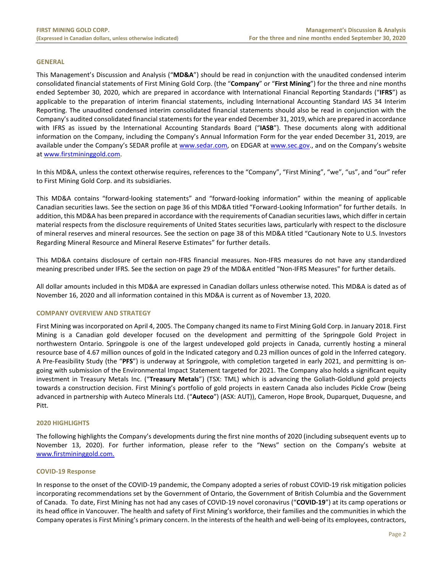#### **GENERAL**

This Management's Discussion and Analysis ("**MD&A**") should be read in conjunction with the unaudited condensed interim consolidated financial statements of First Mining Gold Corp. (the "**Company**" or "**First Mining**") for the three and nine months ended September 30, 2020, which are prepared in accordance with International Financial Reporting Standards ("**IFRS**") as applicable to the preparation of interim financial statements, including International Accounting Standard IAS 34 Interim Reporting. The unaudited condensed interim consolidated financial statements should also be read in conjunction with the Company's audited consolidated financial statements for the year ended December 31, 2019, which are prepared in accordance with IFRS as issued by the International Accounting Standards Board ("**IASB**"). These documents along with additional information on the Company, including the Company's Annual Information Form for the year ended December 31, 2019, are available under the Company's SEDAR profile at [www.sedar.com,](http://www.sedar.com/) on EDGAR at [www.sec.gov.](http://www.sec.gov/), and on the Company's website at [www.firstmininggold.com.](http://www.firstmininggold.com/)

In this MD&A, unless the context otherwise requires, references to the "Company", "First Mining", "we", "us", and "our" refer to First Mining Gold Corp. and its subsidiaries.

This MD&A contains "forward-looking statements" and "forward-looking information" within the meaning of applicable Canadian securities laws. See the section on page 36 of this MD&A titled "Forward-Looking Information" for further details. In addition, this MD&A has been prepared in accordance with the requirements of Canadian securities laws, which differ in certain material respects from the disclosure requirements of United States securities laws, particularly with respect to the disclosure of mineral reserves and mineral resources. See the section on page 38 of this MD&A titled "Cautionary Note to U.S. Investors Regarding Mineral Resource and Mineral Reserve Estimates" for further details.

This MD&A contains disclosure of certain non-IFRS financial measures. Non-IFRS measures do not have any standardized meaning prescribed under IFRS. See the section on page 29 of the MD&A entitled "Non-IFRS Measures" for further details.

All dollar amounts included in this MD&A are expressed in Canadian dollars unless otherwise noted. This MD&A is dated as of November 16, 2020 and all information contained in this MD&A is current as of November 13, 2020.

#### <span id="page-2-0"></span>**COMPANY OVERVIEW AND STRATEGY**

First Mining was incorporated on April 4, 2005. The Company changed its name to First Mining Gold Corp. in January 2018. First Mining is a Canadian gold developer focused on the development and permitting of the Springpole Gold Project in northwestern Ontario. Springpole is one of the largest undeveloped gold projects in Canada, currently hosting a mineral resource base of 4.67 million ounces of gold in the Indicated category and 0.23 million ounces of gold in the Inferred category. A Pre-Feasibility Study (the "**PFS**") is underway at Springpole, with completion targeted in early 2021, and permitting is ongoing with submission of the Environmental Impact Statement targeted for 2021. The Company also holds a significant equity investment in Treasury Metals Inc. ("**Treasury Metals**") (TSX: TML) which is advancing the Goliath-Goldlund gold projects towards a construction decision. First Mining's portfolio of gold projects in eastern Canada also includes Pickle Crow (being advanced in partnership with Auteco Minerals Ltd. ("**Auteco**") (ASX: AUT)), Cameron, Hope Brook, Duparquet, Duquesne, and Pitt.

#### <span id="page-2-1"></span>**2020 HIGHLIGHTS**

The following highlights the Company's developments during the first nine months of 2020 (including subsequent events up to November 13, 2020). For further information, please refer to the "News" section on the Company's website at [www.firstmininggold.com.](http://www.firstmininggold.com./)

#### **COVID-19 Response**

In response to the onset of the COVID-19 pandemic, the Company adopted a series of robust COVID-19 risk mitigation policies incorporating recommendations set by the Government of Ontario, the Government of British Columbia and the Government of Canada. To date, First Mining has not had any cases of COVID-19 novel coronavirus ("**COVID-19**") at its camp operations or its head office in Vancouver. The health and safety of First Mining's workforce, their families and the communities in which the Company operates is First Mining's primary concern. In the interests of the health and well-being of its employees, contractors,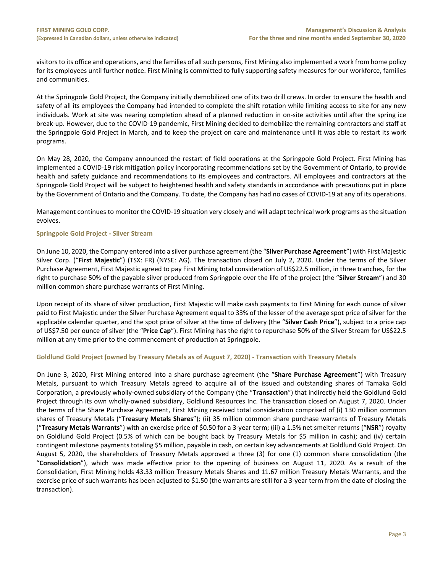visitors to its office and operations, and the families of all such persons, First Mining also implemented a work from home policy for its employees until further notice. First Mining is committed to fully supporting safety measures for our workforce, families and communities.

At the Springpole Gold Project, the Company initially demobilized one of its two drill crews. In order to ensure the health and safety of all its employees the Company had intended to complete the shift rotation while limiting access to site for any new individuals. Work at site was nearing completion ahead of a planned reduction in on-site activities until after the spring ice break-up. However, due to the COVID-19 pandemic, First Mining decided to demobilize the remaining contractors and staff at the Springpole Gold Project in March, and to keep the project on care and maintenance until it was able to restart its work programs.

On May 28, 2020, the Company announced the restart of field operations at the Springpole Gold Project. First Mining has implemented a COVID-19 risk mitigation policy incorporating recommendations set by the Government of Ontario, to provide health and safety guidance and recommendations to its employees and contractors. All employees and contractors at the Springpole Gold Project will be subject to heightened health and safety standards in accordance with precautions put in place by the Government of Ontario and the Company. To date, the Company has had no cases of COVID-19 at any of its operations.

Management continues to monitor the COVID-19 situation very closely and will adapt technical work programs as the situation evolves.

# **Springpole Gold Project - Silver Stream**

On June 10, 2020, the Company entered into a silver purchase agreement (the "**Silver Purchase Agreement**") with First Majestic Silver Corp. ("**First Majestic**") (TSX: FR) (NYSE: AG). The transaction closed on July 2, 2020. Under the terms of the Silver Purchase Agreement, First Majestic agreed to pay First Mining total consideration of US\$22.5 million, in three tranches, for the right to purchase 50% of the payable silver produced from Springpole over the life of the project (the "**Silver Stream**") and 30 million common share purchase warrants of First Mining.

Upon receipt of its share of silver production, First Majestic will make cash payments to First Mining for each ounce of silver paid to First Majestic under the Silver Purchase Agreement equal to 33% of the lesser of the average spot price of silver for the applicable calendar quarter, and the spot price of silver at the time of delivery (the "**Silver Cash Price**"), subject to a price cap of US\$7.50 per ounce of silver (the "**Price Cap**"). First Mining has the right to repurchase 50% of the Silver Stream for US\$22.5 million at any time prior to the commencement of production at Springpole.

#### **Goldlund Gold Project (owned by Treasury Metals as of August 7, 2020) - Transaction with Treasury Metals**

On June 3, 2020, First Mining entered into a share purchase agreement (the "**Share Purchase Agreement**") with Treasury Metals, pursuant to which Treasury Metals agreed to acquire all of the issued and outstanding shares of Tamaka Gold Corporation, a previously wholly-owned subsidiary of the Company (the "**Transaction**") that indirectly held the Goldlund Gold Project through its own wholly-owned subsidiary, Goldlund Resources Inc. The transaction closed on August 7, 2020. Under the terms of the Share Purchase Agreement, First Mining received total consideration comprised of (i) 130 million common shares of Treasury Metals ("**Treasury Metals Shares**"); (ii) 35 million common share purchase warrants of Treasury Metals ("**Treasury Metals Warrants**") with an exercise price of \$0.50 for a 3-year term; (iii) a 1.5% net smelter returns ("**NSR**") royalty on Goldlund Gold Project (0.5% of which can be bought back by Treasury Metals for \$5 million in cash); and (iv) certain contingent milestone payments totaling \$5 million, payable in cash, on certain key advancements at Goldlund Gold Project. On August 5, 2020, the shareholders of Treasury Metals approved a three (3) for one (1) common share consolidation (the "**Consolidation**"), which was made effective prior to the opening of business on August 11, 2020. As a result of the Consolidation, First Mining holds 43.33 million Treasury Metals Shares and 11.67 million Treasury Metals Warrants, and the exercise price of such warrants has been adjusted to \$1.50 (the warrants are still for a 3-year term from the date of closing the transaction).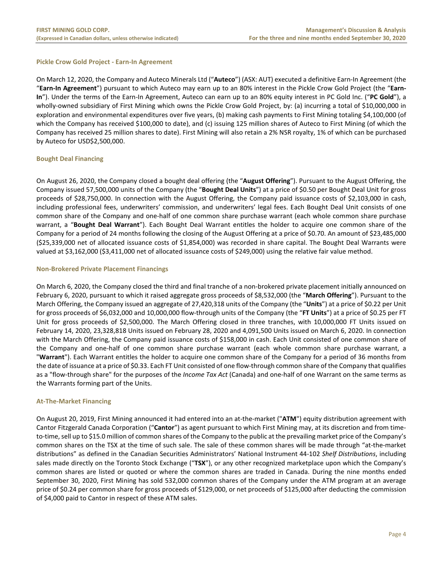# **Pickle Crow Gold Project - Earn-In Agreement**

On March 12, 2020, the Company and Auteco Minerals Ltd ("**Auteco**") (ASX: AUT) executed a definitive Earn-In Agreement (the "**Earn-In Agreement**") pursuant to which Auteco may earn up to an 80% interest in the Pickle Crow Gold Project (the "**Earn-In**"). Under the terms of the Earn-In Agreement, Auteco can earn up to an 80% equity interest in PC Gold Inc. ("**PC Gold**"), a wholly-owned subsidiary of First Mining which owns the Pickle Crow Gold Project, by: (a) incurring a total of \$10,000,000 in exploration and environmental expenditures over five years, (b) making cash payments to First Mining totaling \$4,100,000 (of which the Company has received \$100,000 to date), and (c) issuing 125 million shares of Auteco to First Mining (of which the Company has received 25 million shares to date). First Mining will also retain a 2% NSR royalty, 1% of which can be purchased by Auteco for USD\$2,500,000.

# **Bought Deal Financing**

On August 26, 2020, the Company closed a bought deal offering (the "**August Offering**"). Pursuant to the August Offering, the Company issued 57,500,000 units of the Company (the "**Bought Deal Units**") at a price of \$0.50 per Bought Deal Unit for gross proceeds of \$28,750,000. In connection with the August Offering, the Company paid issuance costs of \$2,103,000 in cash, including professional fees, underwriters' commission, and underwriters' legal fees. Each Bought Deal Unit consists of one common share of the Company and one-half of one common share purchase warrant (each whole common share purchase warrant, a "**Bought Deal Warrant**"). Each Bought Deal Warrant entitles the holder to acquire one common share of the Company for a period of 24 months following the closing of the August Offering at a price of \$0.70. An amount of \$23,485,000 (\$25,339,000 net of allocated issuance costs of \$1,854,000) was recorded in share capital. The Bought Deal Warrants were valued at \$3,162,000 (\$3,411,000 net of allocated issuance costs of \$249,000) using the relative fair value method.

#### **Non-Brokered Private Placement Financings**

On March 6, 2020, the Company closed the third and final tranche of a non-brokered private placement initially announced on February 6, 2020, pursuant to which it raised aggregate gross proceeds of \$8,532,000 (the "**March Offering**"). Pursuant to the March Offering, the Company issued an aggregate of 27,420,318 units of the Company (the "**Units**") at a price of \$0.22 per Unit for gross proceeds of \$6,032,000 and 10,000,000 flow-through units of the Company (the "**FT Units**") at a price of \$0.25 per FT Unit for gross proceeds of \$2,500,000. The March Offering closed in three tranches, with 10,000,000 FT Units issued on February 14, 2020, 23,328,818 Units issued on February 28, 2020 and 4,091,500 Units issued on March 6, 2020. In connection with the March Offering, the Company paid issuance costs of \$158,000 in cash. Each Unit consisted of one common share of the Company and one-half of one common share purchase warrant (each whole common share purchase warrant, a "**Warrant**"). Each Warrant entitles the holder to acquire one common share of the Company for a period of 36 months from the date of issuance at a price of \$0.33. Each FT Unit consisted of one flow-through common share of the Company that qualifies as a "flow-through share" for the purposes of the *Income Tax Act* (Canada) and one-half of one Warrant on the same terms as the Warrants forming part of the Units.

# **At-The-Market Financing**

On August 20, 2019, First Mining announced it had entered into an at-the-market ("**ATM**") equity distribution agreement with Cantor Fitzgerald Canada Corporation ("**Cantor**") as agent pursuant to which First Mining may, at its discretion and from timeto-time, sell up to \$15.0 million of common shares of the Company to the public at the prevailing market price of the Company's common shares on the TSX at the time of such sale. The sale of these common shares will be made through "at-the-market distributions" as defined in the Canadian Securities Administrators' National Instrument 44-102 *Shelf Distributions*, including sales made directly on the Toronto Stock Exchange ("**TSX**"), or any other recognized marketplace upon which the Company's common shares are listed or quoted or where the common shares are traded in Canada. During the nine months ended September 30, 2020, First Mining has sold 532,000 common shares of the Company under the ATM program at an average price of \$0.24 per common share for gross proceeds of \$129,000, or net proceeds of \$125,000 after deducting the commission of \$4,000 paid to Cantor in respect of these ATM sales.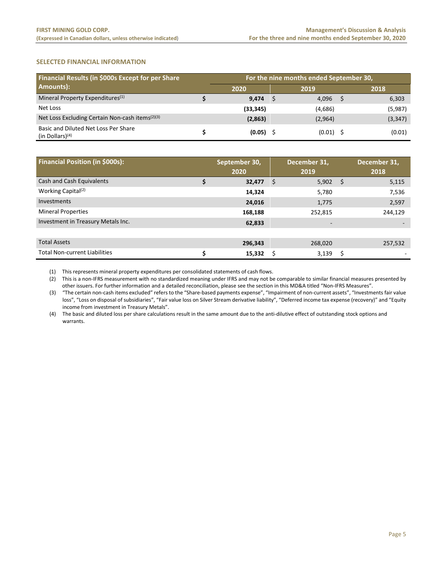# <span id="page-5-0"></span>**SELECTED FINANCIAL INFORMATION**

| Financial Results (in \$000s Except for per Share           | For the nine months ended September 30, |           |  |             |      |          |  |  |  |  |
|-------------------------------------------------------------|-----------------------------------------|-----------|--|-------------|------|----------|--|--|--|--|
| Amounts):                                                   | 2020                                    |           |  | 2019        | 2018 |          |  |  |  |  |
| Mineral Property Expenditures <sup>(1)</sup>                |                                         | 9.474     |  | 4,096       |      | 6,303    |  |  |  |  |
| Net Loss                                                    |                                         | (33, 345) |  | (4,686)     |      | (5,987)  |  |  |  |  |
| Net Loss Excluding Certain Non-cash items <sup>(2)(3)</sup> |                                         | (2,863)   |  | (2,964)     |      | (3, 347) |  |  |  |  |
| Basic and Diluted Net Loss Per Share<br>(in Dollars) $(4)$  |                                         | (0.05)    |  | $(0.01)$ \$ |      | (0.01)   |  |  |  |  |

| <b>Financial Position (in \$000s):</b> |   | September 30,<br>2020 | December 31,<br>2019 |      | December 31,<br>2018 |
|----------------------------------------|---|-----------------------|----------------------|------|----------------------|
| Cash and Cash Equivalents              |   | 32,477                | \$<br>5,902          | - \$ | 5,115                |
| Working Capital <sup>(2)</sup>         |   | 14,324                | 5,780                |      | 7,536                |
| Investments                            |   | 24,016                | 1,775                |      | 2,597                |
| <b>Mineral Properties</b>              |   | 168,188               | 252,815              |      | 244,129              |
| Investment in Treasury Metals Inc.     |   | 62,833                |                      |      |                      |
|                                        |   |                       |                      |      |                      |
| <b>Total Assets</b>                    |   | 296.343               | 268,020              |      | 257,532              |
| <b>Total Non-current Liabilities</b>   | Ś | 15,332                | 3,139                | \$   |                      |

(1) This represents mineral property expenditures per consolidated statements of cash flows.

(2) This is a non-IFRS measurement with no standardized meaning under IFRS and may not be comparable to similar financial measures presented by other issuers. For further information and a detailed reconciliation, please see the section in this MD&A titled "Non-IFRS Measures".

(3) "The certain non-cash items excluded" refers to the "Share-based payments expense", "Impairment of non-current assets", "Investments fair value loss", "Loss on disposal of subsidiaries", "Fair value loss on Silver Stream derivative liability", "Deferred income tax expense (recovery)" and "Equity income from investment in Treasury Metals".

(4) The basic and diluted loss per share calculations result in the same amount due to the anti-dilutive effect of outstanding stock options and warrants.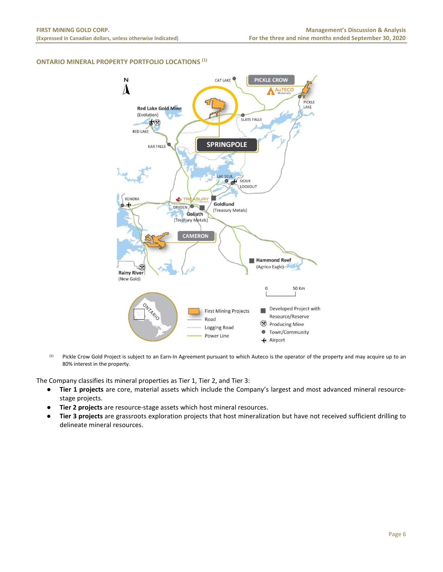# <span id="page-6-0"></span>**ONTARIO MINERAL PROPERTY PORTFOLIO LOCATIONS (1)**



<sup>(1)</sup> Pickle Crow Gold Project is subject to an Earn-In Agreement pursuant to which Auteco is the operator of the property and may acquire up to an 80% interest in the property.

The Company classifies its mineral properties as Tier 1, Tier 2, and Tier 3:

- **Tier 1 projects** are core, material assets which include the Company's largest and most advanced mineral resourcestage projects.
- **Tier 2 projects** are resource-stage assets which host mineral resources.
- **Tier 3 projects** are grassroots exploration projects that host mineralization but have not received sufficient drilling to delineate mineral resources.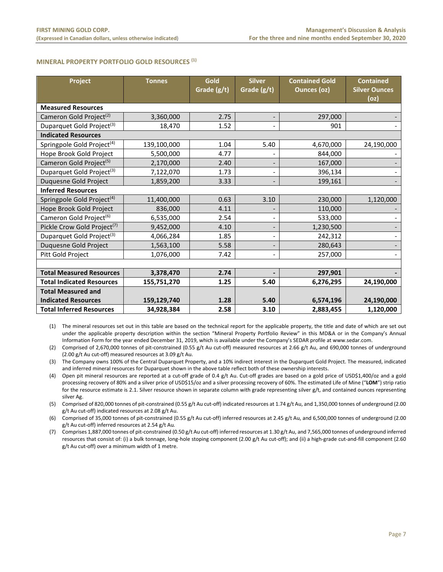#### **MINERAL PROPERTY PORTFOLIO GOLD RESOURCES (1)**

| Project                                 | <b>Tonnes</b> | Gold<br>Grade (g/t) | <b>Silver</b><br>Grade (g/t) | <b>Contained Gold</b><br><b>Ounces (oz)</b> | <b>Contained</b><br><b>Silver Ounces</b> |
|-----------------------------------------|---------------|---------------------|------------------------------|---------------------------------------------|------------------------------------------|
|                                         |               |                     |                              |                                             | (oz)                                     |
| <b>Measured Resources</b>               |               |                     |                              |                                             |                                          |
| Cameron Gold Project <sup>(2)</sup>     | 3,360,000     | 2.75                |                              | 297,000                                     |                                          |
| Duparquet Gold Project <sup>(3)</sup>   | 18,470        | 1.52                |                              | 901                                         |                                          |
| <b>Indicated Resources</b>              |               |                     |                              |                                             |                                          |
| Springpole Gold Project <sup>(4)</sup>  | 139,100,000   | 1.04                | 5.40                         | 4,670,000                                   | 24,190,000                               |
| Hope Brook Gold Project                 | 5,500,000     | 4.77                |                              | 844,000                                     |                                          |
| Cameron Gold Project <sup>(5)</sup>     | 2,170,000     | 2.40                |                              | 167,000                                     |                                          |
| Duparquet Gold Project <sup>(3)</sup>   | 7,122,070     | 1.73                |                              | 396,134                                     |                                          |
| Duquesne Gold Project                   | 1,859,200     | 3.33                |                              | 199,161                                     |                                          |
| <b>Inferred Resources</b>               |               |                     |                              |                                             |                                          |
| Springpole Gold Project <sup>(4)</sup>  | 11,400,000    | 0.63                | 3.10                         | 230,000                                     | 1,120,000                                |
| Hope Brook Gold Project                 | 836,000       | 4.11                |                              | 110,000                                     |                                          |
| Cameron Gold Project <sup>(6)</sup>     | 6,535,000     | 2.54                |                              | 533,000                                     |                                          |
| Pickle Crow Gold Project <sup>(7)</sup> | 9,452,000     | 4.10                |                              | 1,230,500                                   |                                          |
| Duparquet Gold Project <sup>(3)</sup>   | 4,066,284     | 1.85                |                              | 242,312                                     |                                          |
| Duquesne Gold Project                   | 1,563,100     | 5.58                |                              | 280,643                                     |                                          |
| Pitt Gold Project                       | 1,076,000     | 7.42                |                              | 257,000                                     |                                          |
|                                         |               |                     |                              |                                             |                                          |
| <b>Total Measured Resources</b>         | 3,378,470     | 2.74                |                              | 297,901                                     |                                          |
| <b>Total Indicated Resources</b>        | 155,751,270   | 1.25                | 5.40                         | 6,276,295                                   | 24,190,000                               |
| <b>Total Measured and</b>               |               |                     |                              |                                             |                                          |
| <b>Indicated Resources</b>              | 159,129,740   | 1.28                | 5.40                         | 6,574,196                                   | 24,190,000                               |
| <b>Total Inferred Resources</b>         | 34,928,384    | 2.58                | 3.10                         | 2,883,455                                   | 1,120,000                                |

(1) The mineral resources set out in this table are based on the technical report for the applicable property, the title and date of which are set out under the applicable property description within the section "Mineral Property Portfolio Review" in this MD&A or in the Company's Annual Information Form for the year ended December 31, 2019, which is available under the Company's SEDAR profile at www.sedar.com.

(2) Comprised of 2,670,000 tonnes of pit-constrained (0.55 g/t Au cut-off) measured resources at 2.66 g/t Au, and 690,000 tonnes of underground (2.00 g/t Au cut-off) measured resources at 3.09 g/t Au.

(3) The Company owns 100% of the Central Duparquet Property, and a 10% indirect interest in the Duparquet Gold Project. The measured, indicated and inferred mineral resources for Duparquet shown in the above table reflect both of these ownership interests.

(4) Open pit mineral resources are reported at a cut-off grade of 0.4 g/t Au. Cut-off grades are based on a gold price of USD\$1,400/oz and a gold processing recovery of 80% and a silver price of USD\$15/oz and a silver processing recovery of 60%. The estimated Life of Mine ("**LOM**") strip ratio for the resource estimate is 2.1. Silver resource shown in separate column with grade representing silver g/t, and contained ounces representing silver Ag.

(5) Comprised of 820,000 tonnes of pit-constrained (0.55 g/t Au cut-off) indicated resources at 1.74 g/t Au, and 1,350,000 tonnes of underground (2.00 g/t Au cut-off) indicated resources at 2.08 g/t Au.

(6) Comprised of 35,000 tonnes of pit-constrained (0.55 g/t Au cut-off) inferred resources at 2.45 g/t Au, and 6,500,000 tonnes of underground (2.00 g/t Au cut-off) inferred resources at 2.54 g/t Au.

(7) Comprises 1,887,000 tonnes of pit-constrained (0.50 g/t Au cut-off) inferred resources at 1.30 g/t Au, and 7,565,000 tonnes of underground inferred resources that consist of: (i) a bulk tonnage, long-hole stoping component (2.00 g/t Au cut-off); and (ii) a high-grade cut-and-fill component (2.60 g/t Au cut-off) over a minimum width of 1 metre.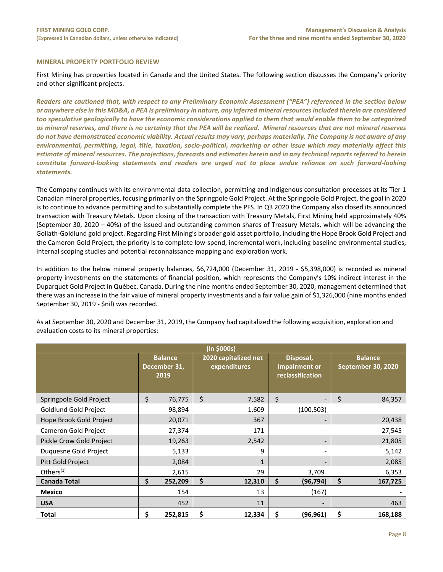#### <span id="page-8-0"></span>**MINERAL PROPERTY PORTFOLIO REVIEW**

First Mining has properties located in Canada and the United States. The following section discusses the Company's priority and other significant projects.

*Readers are cautioned that, with respect to any Preliminary Economic Assessment ("PEA") referenced in the section below or anywhere else in this MD&A, a PEA is preliminary in nature, any inferred mineral resources included therein are considered too speculative geologically to have the economic considerations applied to them that would enable them to be categorized as mineral reserves, and there is no certainty that the PEA will be realized. Mineral resources that are not mineral reserves do not have demonstrated economic viability. Actual results may vary, perhaps materially. The Company is not aware of any environmental, permitting, legal, title, taxation, socio-political, marketing or other issue which may materially affect this estimate of mineral resources. The projections, forecasts and estimates herein and in any technical reports referred to herein*  constitute forward-looking statements and readers are urged not to place undue reliance on such forward-looking *statements.*

The Company continues with its environmental data collection, permitting and Indigenous consultation processes at its Tier 1 Canadian mineral properties, focusing primarily on the Springpole Gold Project. At the Springpole Gold Project, the goal in 2020 is to continue to advance permitting and to substantially complete the PFS. In Q3 2020 the Company also closed its announced transaction with Treasury Metals. Upon closing of the transaction with Treasury Metals, First Mining held approximately 40% (September 30, 2020 – 40%) of the issued and outstanding common shares of Treasury Metals, which will be advancing the Goliath-Goldlund gold project. Regarding First Mining's broader gold asset portfolio, including the Hope Brook Gold Project and the Cameron Gold Project, the priority is to complete low-spend, incremental work, including baseline environmental studies, internal scoping studies and potential reconnaissance mapping and exploration work.

In addition to the below mineral property balances, \$6,724,000 (December 31, 2019 - \$5,398,000) is recorded as mineral property investments on the statements of financial position, which represents the Company's 10% indirect interest in the Duparquet Gold Project in Québec, Canada. During the nine months ended September 30, 2020, management determined that there was an increase in the fair value of mineral property investments and a fair value gain of \$1,326,000 (nine months ended September 30, 2019 - \$nil) was recorded.

| (in \$000s)                  |                                        |         |    |              |                                      |                          |                                                |                          |  |                                      |  |  |
|------------------------------|----------------------------------------|---------|----|--------------|--------------------------------------|--------------------------|------------------------------------------------|--------------------------|--|--------------------------------------|--|--|
|                              | <b>Balance</b><br>December 31,<br>2019 |         |    |              | 2020 capitalized net<br>expenditures |                          | Disposal,<br>impairment or<br>reclassification |                          |  | <b>Balance</b><br>September 30, 2020 |  |  |
| Springpole Gold Project      | \$                                     | 76,775  | \$ | 7,582        | $\zeta$                              | $\overline{\phantom{0}}$ | \$                                             | 84,357                   |  |                                      |  |  |
| <b>Goldlund Gold Project</b> |                                        | 98,894  |    | 1,609        |                                      | (100, 503)               |                                                |                          |  |                                      |  |  |
| Hope Brook Gold Project      |                                        | 20,071  |    | 367          |                                      |                          |                                                | 20,438                   |  |                                      |  |  |
| Cameron Gold Project         | 27,374                                 |         |    |              |                                      | 171                      |                                                | $\overline{\phantom{a}}$ |  | 27,545                               |  |  |
| Pickle Crow Gold Project     |                                        | 19,263  |    | 2,542        | $\overline{\phantom{a}}$             |                          |                                                | 21,805                   |  |                                      |  |  |
| Duquesne Gold Project        |                                        | 5,133   |    | 9            | -                                    |                          |                                                | 5,142                    |  |                                      |  |  |
| Pitt Gold Project            |                                        | 2,084   |    | $\mathbf{1}$ |                                      |                          |                                                | 2,085                    |  |                                      |  |  |
| Others <sup>(1)</sup>        |                                        | 2,615   |    | 29           |                                      | 3,709                    |                                                | 6,353                    |  |                                      |  |  |
| <b>Canada Total</b>          | \$                                     | 252,209 | \$ | 12,310       | \$                                   | (96, 794)                | \$                                             | 167,725                  |  |                                      |  |  |
| <b>Mexico</b>                |                                        | 154     |    | 13           |                                      | (167)                    |                                                |                          |  |                                      |  |  |
| <b>USA</b>                   |                                        | 452     |    | 11           |                                      |                          |                                                | 463                      |  |                                      |  |  |
| <b>Total</b>                 | \$                                     | 252,815 | \$ | 12,334       | \$                                   | (96, 961)                | \$                                             | 168,188                  |  |                                      |  |  |

As at September 30, 2020 and December 31, 2019, the Company had capitalized the following acquisition, exploration and evaluation costs to its mineral properties: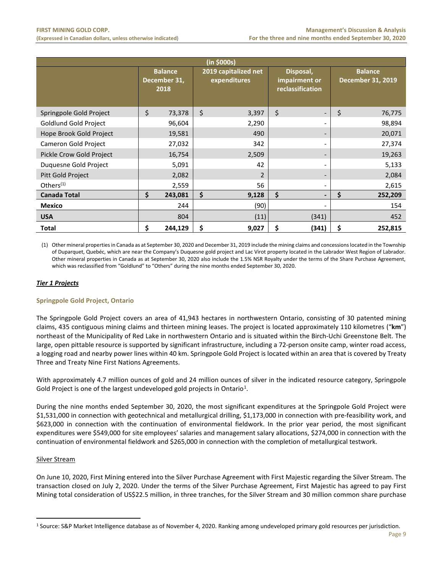| (in \$000s)              |    |                                        |    |                                      |    |                                                |    |                                            |  |  |  |
|--------------------------|----|----------------------------------------|----|--------------------------------------|----|------------------------------------------------|----|--------------------------------------------|--|--|--|
|                          |    | <b>Balance</b><br>December 31,<br>2018 |    | 2019 capitalized net<br>expenditures |    | Disposal,<br>impairment or<br>reclassification |    | <b>Balance</b><br><b>December 31, 2019</b> |  |  |  |
| Springpole Gold Project  | \$ | 73,378                                 | \$ | 3,397                                | \$ | $\qquad \qquad \blacksquare$                   | \$ | 76,775                                     |  |  |  |
| Goldlund Gold Project    |    | 96,604                                 |    | 2,290                                |    | -                                              |    | 98,894                                     |  |  |  |
| Hope Brook Gold Project  |    | 19,581                                 |    | 490                                  |    | -                                              |    | 20,071                                     |  |  |  |
| Cameron Gold Project     |    | 27,032                                 |    | 342                                  |    | $\overline{\phantom{a}}$                       |    | 27,374                                     |  |  |  |
| Pickle Crow Gold Project |    | 16,754                                 |    | 2,509                                |    |                                                |    | 19,263                                     |  |  |  |
| Duquesne Gold Project    |    | 5,091                                  |    | 42                                   |    | $\qquad \qquad \blacksquare$                   |    | 5,133                                      |  |  |  |
| Pitt Gold Project        |    | 2,082                                  |    | $\overline{2}$                       |    | $\qquad \qquad \blacksquare$                   |    | 2,084                                      |  |  |  |
| Others $(1)$             |    | 2,559                                  |    | 56                                   |    | $\overline{\phantom{a}}$                       |    | 2,615                                      |  |  |  |
| <b>Canada Total</b>      | \$ | 243,081                                | \$ | 9,128                                | \$ | $\qquad \qquad \blacksquare$                   | \$ | 252,209                                    |  |  |  |
| <b>Mexico</b>            |    | 244                                    |    | (90)                                 |    | -                                              |    | 154                                        |  |  |  |
| <b>USA</b>               |    | 804                                    |    | (11)                                 |    | (341)                                          |    | 452                                        |  |  |  |
| <b>Total</b>             | \$ | 244,129                                | \$ | 9,027                                | \$ | (341)                                          | Ś  | 252,815                                    |  |  |  |

(1) Other mineral properties in Canada as at September 30, 2020 and December 31, 2019 include the mining claims and concessions located in the Township of Duparquet, Quebéc, which are near the Company's Duquesne gold project and Lac Virot property located in the Labrador West Region of Labrador. Other mineral properties in Canada as at September 30, 2020 also include the 1.5% NSR Royalty under the terms of the Share Purchase Agreement, which was reclassified from "Goldlund" to "Others" during the nine months ended September 30, 2020.

# *Tier 1 Projects*

# **Springpole Gold Project, Ontario**

The Springpole Gold Project covers an area of 41,943 hectares in northwestern Ontario, consisting of 30 patented mining claims, 435 contiguous mining claims and thirteen mining leases. The project is located approximately 110 kilometres ("**km**") northeast of the Municipality of Red Lake in northwestern Ontario and is situated within the Birch-Uchi Greenstone Belt. The large, open pittable resource is supported by significant infrastructure, including a 72-person onsite camp, winter road access, a logging road and nearby power lines within 40 km. Springpole Gold Project is located within an area that is covered by Treaty Three and Treaty Nine First Nations Agreements.

With approximately 4.7 million ounces of gold and 24 million ounces of silver in the indicated resource category, Springpole Gold Project is one of the largest undeveloped gold projects in Ontario<sup>[1](#page-9-0)</sup>.

During the nine months ended September 30, 2020, the most significant expenditures at the Springpole Gold Project were \$1,531,000 in connection with geotechnical and metallurgical drilling, \$1,173,000 in connection with pre-feasibility work, and \$623,000 in connection with the continuation of environmental fieldwork. In the prior year period, the most significant expenditures were \$549,000 for site employees' salaries and management salary allocations, \$274,000 in connection with the continuation of environmental fieldwork and \$265,000 in connection with the completion of metallurgical testwork.

#### Silver Stream

On June 10, 2020, First Mining entered into the Silver Purchase Agreement with First Majestic regarding the Silver Stream. The transaction closed on July 2, 2020. Under the terms of the Silver Purchase Agreement, First Majestic has agreed to pay First Mining total consideration of US\$22.5 million, in three tranches, for the Silver Stream and 30 million common share purchase

<span id="page-9-0"></span><sup>1</sup> Source: S&P Market Intelligence database as of November 4, 2020. Ranking among undeveloped primary gold resources per jurisdiction.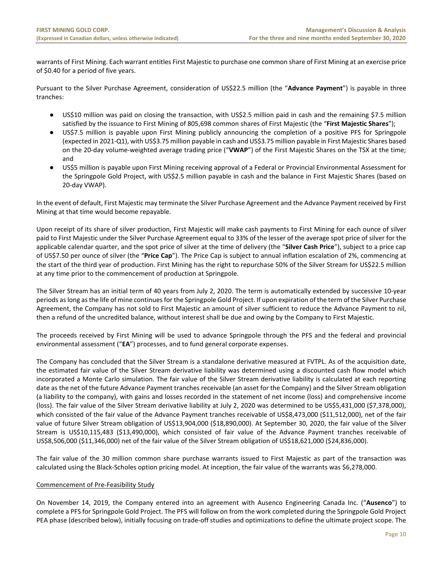warrants of First Mining. Each warrant entitles First Majestic to purchase one common share of First Mining at an exercise price of \$0.40 for a period of five years.

Pursuant to the Silver Purchase Agreement, consideration of US\$22.5 million (the "**Advance Payment**") is payable in three tranches:

- US\$10 million was paid on closing the transaction, with US\$2.5 million paid in cash and the remaining \$7.5 million satisfied by the issuance to First Mining of 805,698 common shares of First Majestic (the "**First Majestic Shares**");
- US\$7.5 million is payable upon First Mining publicly announcing the completion of a positive PFS for Springpole (expected in 2021-Q1), with US\$3.75 million payable in cash and US\$3.75 million payable in First Majestic Shares based on the 20-day volume-weighted average trading price ("**VWAP**") of the First Majestic Shares on the TSX at the time; and
- US\$5 million is payable upon First Mining receiving approval of a Federal or Provincial Environmental Assessment for the Springpole Gold Project, with US\$2.5 million payable in cash and the balance in First Majestic Shares (based on 20-day VWAP).

In the event of default, First Majestic may terminate the Silver Purchase Agreement and the Advance Payment received by First Mining at that time would become repayable.

Upon receipt of its share of silver production, First Majestic will make cash payments to First Mining for each ounce of silver paid to First Majestic under the Silver Purchase Agreement equal to 33% of the lesser of the average spot price of silver for the applicable calendar quarter, and the spot price of silver at the time of delivery (the "**Silver Cash Price**"), subject to a price cap of US\$7.50 per ounce of silver (the "**Price Cap**"). The Price Cap is subject to annual inflation escalation of 2%, commencing at the start of the third year of production. First Mining has the right to repurchase 50% of the Silver Stream for US\$22.5 million at any time prior to the commencement of production at Springpole.

The Silver Stream has an initial term of 40 years from July 2, 2020. The term is automatically extended by successive 10-year periods as long as the life of mine continues for the Springpole Gold Project. If upon expiration of the term of the Silver Purchase Agreement, the Company has not sold to First Majestic an amount of silver sufficient to reduce the Advance Payment to nil, then a refund of the uncredited balance, without interest shall be due and owing by the Company to First Majestic.

The proceeds received by First Mining will be used to advance Springpole through the PFS and the federal and provincial environmental assessment ("**EA**") processes, and to fund general corporate expenses.

The Company has concluded that the Silver Stream is a standalone derivative measured at FVTPL. As of the acquisition date, the estimated fair value of the Silver Stream derivative liability was determined using a discounted cash flow model which incorporated a Monte Carlo simulation. The fair value of the Silver Stream derivative liability is calculated at each reporting date as the net of the future Advance Payment tranches receivable (an asset for the Company) and the Silver Stream obligation (a liability to the company), with gains and losses recorded in the statement of net income (loss) and comprehensive income (loss). The fair value of the Silver Stream derivative liability at July 2, 2020 was determined to be US\$5,431,000 (\$7,378,000), which consisted of the fair value of the Advance Payment tranches receivable of US\$8,473,000 (\$11,512,000), net of the fair value of future Silver Stream obligation of US\$13,904,000 (\$18,890,000). At September 30, 2020, the fair value of the Silver Stream is US\$10,115,483 (\$13,490,000), which consisted of fair value of the Advance Payment tranches receivable of US\$8,506,000 (\$11,346,000) net of the fair value of the Silver Stream obligation of US\$18,621,000 (\$24,836,000).

The fair value of the 30 million common share purchase warrants issued to First Majestic as part of the transaction was calculated using the Black-Scholes option pricing model. At inception, the fair value of the warrants was \$6,278,000.

# Commencement of Pre-Feasibility Study

On November 14, 2019, the Company entered into an agreement with Ausenco Engineering Canada Inc. ("**Ausenco**") to complete a PFS for Springpole Gold Project. The PFS will follow on from the work completed during the Springpole Gold Project PEA phase (described below), initially focusing on trade-off studies and optimizations to define the ultimate project scope. The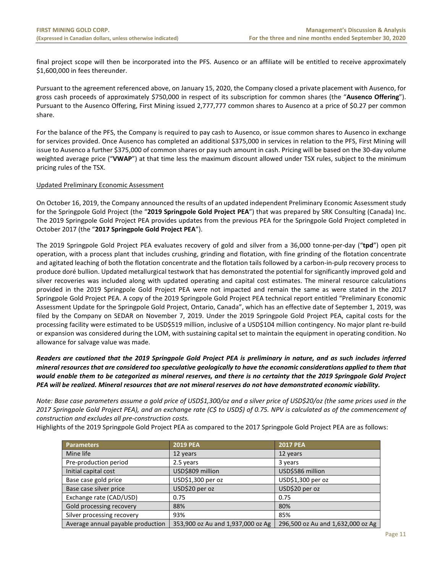final project scope will then be incorporated into the PFS. Ausenco or an affiliate will be entitled to receive approximately \$1,600,000 in fees thereunder.

Pursuant to the agreement referenced above, on January 15, 2020, the Company closed a private placement with Ausenco, for gross cash proceeds of approximately \$750,000 in respect of its subscription for common shares (the "**Ausenco Offering**"). Pursuant to the Ausenco Offering, First Mining issued 2,777,777 common shares to Ausenco at a price of \$0.27 per common share.

For the balance of the PFS, the Company is required to pay cash to Ausenco, or issue common shares to Ausenco in exchange for services provided. Once Ausenco has completed an additional \$375,000 in services in relation to the PFS, First Mining will issue to Ausenco a further \$375,000 of common shares or pay such amount in cash. Pricing will be based on the 30-day volume weighted average price ("**VWAP**") at that time less the maximum discount allowed under TSX rules, subject to the minimum pricing rules of the TSX.

# Updated Preliminary Economic Assessment

On October 16, 2019, the Company announced the results of an updated independent Preliminary Economic Assessment study for the Springpole Gold Project (the "**2019 Springpole Gold Project PEA**") that was prepared by SRK Consulting (Canada) Inc. The 2019 Springpole Gold Project PEA provides updates from the previous PEA for the Springpole Gold Project completed in October 2017 (the "**2017 Springpole Gold Project PEA**").

The 2019 Springpole Gold Project PEA evaluates recovery of gold and silver from a 36,000 tonne-per-day ("**tpd**") open pit operation, with a process plant that includes crushing, grinding and flotation, with fine grinding of the flotation concentrate and agitated leaching of both the flotation concentrate and the flotation tails followed by a carbon-in-pulp recovery process to produce doré bullion. Updated metallurgical testwork that has demonstrated the potential for significantly improved gold and silver recoveries was included along with updated operating and capital cost estimates. The mineral resource calculations provided in the 2019 Springpole Gold Project PEA were not impacted and remain the same as were stated in the 2017 Springpole Gold Project PEA. A copy of the 2019 Springpole Gold Project PEA technical report entitled "Preliminary Economic Assessment Update for the Springpole Gold Project, Ontario, Canada", which has an effective date of September 1, 2019, was filed by the Company on SEDAR on November 7, 2019. Under the 2019 Springpole Gold Project PEA, capital costs for the processing facility were estimated to be USD\$519 million, inclusive of a USD\$104 million contingency. No major plant re-build or expansion was considered during the LOM, with sustaining capital set to maintain the equipment in operating condition. No allowance for salvage value was made.

# *Readers are cautioned that the 2019 Springpole Gold Project PEA is preliminary in nature, and as such includes inferred mineral resources that are considered too speculative geologically to have the economic considerations applied to them that would enable them to be categorized as mineral reserves, and there is no certainty that the 2019 Springpole Gold Project PEA will be realized. Mineral resources that are not mineral reserves do not have demonstrated economic viability.*

*Note: Base case parameters assume a gold price of USD\$1,300/oz and a silver price of USD\$20/oz (the same prices used in the 2017 Springpole Gold Project PEA), and an exchange rate (C\$ to USD\$) of 0.75. NPV is calculated as of the commencement of construction and excludes all pre-construction costs.*

Highlights of the 2019 Springpole Gold Project PEA as compared to the 2017 Springpole Gold Project PEA are as follows:

| <b>Parameters</b>                 | <b>2019 PEA</b>                   | <b>2017 PEA</b>                   |
|-----------------------------------|-----------------------------------|-----------------------------------|
| Mine life                         | 12 years                          | 12 years                          |
| Pre-production period             | 2.5 years                         | 3 years                           |
| Initial capital cost              | USD\$809 million                  | USD\$586 million                  |
| Base case gold price              | USD\$1,300 per oz                 | USD\$1,300 per oz                 |
| Base case silver price            | USD\$20 per oz                    | USD\$20 per oz                    |
| Exchange rate (CAD/USD)           | 0.75                              | 0.75                              |
| Gold processing recovery          | 88%                               | 80%                               |
| Silver processing recovery        | 93%                               | 85%                               |
| Average annual payable production | 353,900 oz Au and 1,937,000 oz Ag | 296,500 oz Au and 1,632,000 oz Ag |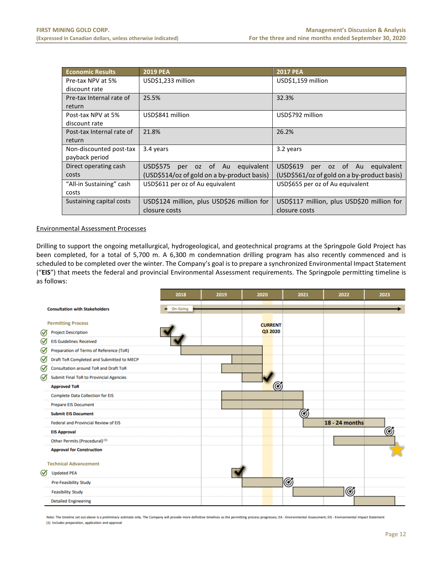| <b>Economic Results</b>   | <b>2019 PEA</b>                             | <b>2017 PEA</b>                             |  |  |  |  |  |  |  |  |
|---------------------------|---------------------------------------------|---------------------------------------------|--|--|--|--|--|--|--|--|
| Pre-tax NPV at 5%         | USD\$1,233 million                          | USD\$1,159 million                          |  |  |  |  |  |  |  |  |
| discount rate             |                                             |                                             |  |  |  |  |  |  |  |  |
| Pre-tax Internal rate of  | 25.5%                                       | 32.3%                                       |  |  |  |  |  |  |  |  |
| return                    |                                             |                                             |  |  |  |  |  |  |  |  |
| Post-tax NPV at 5%        | USD\$841 million                            | USD\$792 million                            |  |  |  |  |  |  |  |  |
| discount rate             |                                             |                                             |  |  |  |  |  |  |  |  |
| Post-tax Internal rate of | 21.8%                                       | 26.2%                                       |  |  |  |  |  |  |  |  |
| return                    |                                             |                                             |  |  |  |  |  |  |  |  |
| Non-discounted post-tax   | 3.4 years                                   | 3.2 years                                   |  |  |  |  |  |  |  |  |
| payback period            |                                             |                                             |  |  |  |  |  |  |  |  |
| Direct operating cash     | USD\$575 per oz of Au equivalent            | USD\$619<br>per oz of Au<br>equivalent      |  |  |  |  |  |  |  |  |
| costs                     | (USD\$514/oz of gold on a by-product basis) | (USD\$561/oz of gold on a by-product basis) |  |  |  |  |  |  |  |  |
| "All-in Sustaining" cash  | USD\$611 per oz of Au equivalent            | USD\$655 per oz of Au equivalent            |  |  |  |  |  |  |  |  |
| costs                     |                                             |                                             |  |  |  |  |  |  |  |  |
| Sustaining capital costs  | USD\$124 million, plus USD\$26 million for  | USD\$117 million, plus USD\$20 million for  |  |  |  |  |  |  |  |  |
|                           | closure costs                               | closure costs                               |  |  |  |  |  |  |  |  |

#### Environmental Assessment Processes

Drilling to support the ongoing metallurgical, hydrogeological, and geotechnical programs at the Springpole Gold Project has been completed, for a total of 5,700 m. A 6,300 m condemnation drilling program has also recently commenced and is scheduled to be completed over the winter. The Company's goal is to prepare a synchronized Environmental Impact Statement ("**EIS**") that meets the federal and provincial Environmental Assessment requirements. The Springpole permitting timeline is as follows:

|                                                                               | 2018     | 2019 | 2020                      | 2021 | 2022           | 2023 |
|-------------------------------------------------------------------------------|----------|------|---------------------------|------|----------------|------|
| <b>Consultation with Stakeholders</b>                                         | On-Going |      |                           |      |                |      |
| <b>Permitting Process</b>                                                     |          |      | <b>CURRENT</b><br>Q3 2020 |      |                |      |
| <b>Project Description</b><br>$\omega$<br>∞<br><b>EIS Guidelines Received</b> |          |      |                           |      |                |      |
| ∞<br>Preparation of Terms of Reference (ToR)                                  |          |      |                           |      |                |      |
| ∅<br>Draft ToR Completed and Submitted to MECP                                |          |      |                           |      |                |      |
| $\bm{\varpi}$<br>Consultation around ToR and Draft ToR                        |          |      |                           |      |                |      |
| ∞<br><b>Submit Final ToR to Provincial Agencies</b>                           |          |      |                           |      |                |      |
| <b>Approved ToR</b>                                                           |          |      | $_{\copyright}$           |      |                |      |
| <b>Complete Data Collection for EIS</b>                                       |          |      |                           |      |                |      |
| <b>Prepare EIS Document</b>                                                   |          |      |                           |      |                |      |
| <b>Submit EIS Document</b>                                                    |          |      |                           | ග්   |                |      |
| Federal and Provincial Review of EIS                                          |          |      |                           |      | 18 - 24 months |      |
| <b>EIS Approval</b>                                                           |          |      |                           |      |                | Ø    |
| Other Permits (Procedural) <sup>(1)</sup>                                     |          |      |                           |      |                |      |
| <b>Approval for Construction</b>                                              |          |      |                           |      |                |      |
| <b>Technical Advancement</b><br>✅<br><b>Updated PEA</b>                       |          |      |                           |      |                |      |
| <b>Pre-Feasibility Study</b>                                                  |          |      |                           | Ø    |                |      |
| <b>Feasibility Study</b>                                                      |          |      |                           |      | Ø              |      |
| <b>Detailed Engineering</b>                                                   |          |      |                           |      |                |      |

Note: The timeline set out above is a preliminary estimate only. The Company will provide more definitive timelines as the permitting process progresses; EA - Environmental Assessment; EIS - Environmental Impact Statement (1) Includes preparation, application and approval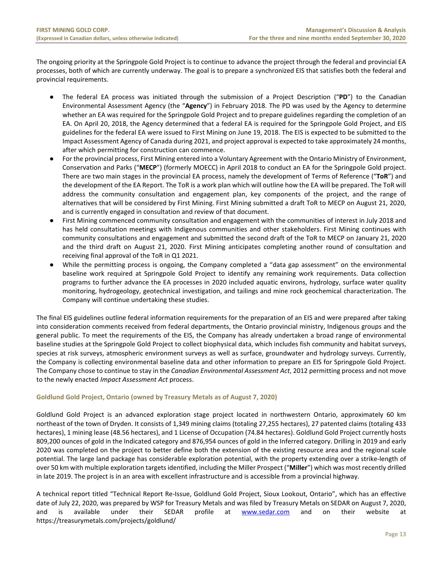The ongoing priority at the Springpole Gold Project is to continue to advance the project through the federal and provincial EA processes, both of which are currently underway. The goal is to prepare a synchronized EIS that satisfies both the federal and provincial requirements.

- The federal EA process was initiated through the submission of a Project Description ("**PD**") to the Canadian Environmental Assessment Agency (the "**Agency**") in February 2018. The PD was used by the Agency to determine whether an EA was required for the Springpole Gold Project and to prepare guidelines regarding the completion of an EA. On April 20, 2018, the Agency determined that a federal EA is required for the Springpole Gold Project, and EIS guidelines for the federal EA were issued to First Mining on June 19, 2018. The EIS is expected to be submitted to the Impact Assessment Agency of Canada during 2021, and project approval is expected to take approximately 24 months, after which permitting for construction can commence.
- For the provincial process, First Mining entered into a Voluntary Agreement with the Ontario Ministry of Environment, Conservation and Parks ("**MECP**") (formerly MOECC) in April 2018 to conduct an EA for the Springpole Gold project. There are two main stages in the provincial EA process, namely the development of Terms of Reference ("**ToR**") and the development of the EA Report. The ToR is a work plan which will outline how the EA will be prepared. The ToR will address the community consultation and engagement plan, key components of the project, and the range of alternatives that will be considered by First Mining. First Mining submitted a draft ToR to MECP on August 21, 2020, and is currently engaged in consultation and review of that document.
- First Mining commenced community consultation and engagement with the communities of interest in July 2018 and has held consultation meetings with Indigenous communities and other stakeholders. First Mining continues with community consultations and engagement and submitted the second draft of the ToR to MECP on January 21, 2020 and the third draft on August 21, 2020. First Mining anticipates completing another round of consultation and receiving final approval of the ToR in Q1 2021.
- While the permitting process is ongoing, the Company completed a "data gap assessment" on the environmental baseline work required at Springpole Gold Project to identify any remaining work requirements. Data collection programs to further advance the EA processes in 2020 included aquatic environs, hydrology, surface water quality monitoring, hydrogeology, geotechnical investigation, and tailings and mine rock geochemical characterization. The Company will continue undertaking these studies.

The final EIS guidelines outline federal information requirements for the preparation of an EIS and were prepared after taking into consideration comments received from federal departments, the Ontario provincial ministry, Indigenous groups and the general public. To meet the requirements of the EIS, the Company has already undertaken a broad range of environmental baseline studies at the Springpole Gold Project to collect biophysical data, which includes fish community and habitat surveys, species at risk surveys, atmospheric environment surveys as well as surface, groundwater and hydrology surveys. Currently, the Company is collecting environmental baseline data and other information to prepare an EIS for Springpole Gold Project. The Company chose to continue to stay in the *Canadian Environmental Assessment Act*, 2012 permitting process and not move to the newly enacted *Impact Assessment Act* process.

# **Goldlund Gold Project, Ontario (owned by Treasury Metals as of August 7, 2020)**

Goldlund Gold Project is an advanced exploration stage project located in northwestern Ontario, approximately 60 km northeast of the town of Dryden. It consists of 1,349 mining claims (totaling 27,255 hectares), 27 patented claims (totaling 433 hectares), 1 mining lease (48.56 hectares), and 1 License of Occupation (74.84 hectares). Goldlund Gold Project currently hosts 809,200 ounces of gold in the Indicated category and 876,954 ounces of gold in the Inferred category. Drilling in 2019 and early 2020 was completed on the project to better define both the extension of the existing resource area and the regional scale potential. The large land package has considerable exploration potential, with the property extending over a strike-length of over 50 km with multiple exploration targets identified, including the Miller Prospect ("**Miller**") which was most recently drilled in late 2019. The project is in an area with excellent infrastructure and is accessible from a provincial highway.

A technical report titled "Technical Report Re-Issue, Goldlund Gold Project, Sioux Lookout, Ontario", which has an effective date of July 22, 2020, was prepared by WSP for Treasury Metals and was filed by Treasury Metals on SEDAR on August 7, 2020, and is available under their SEDAR profile at [www.sedar.com](http://www.sedar.com/) and on their website at https://treasurymetals.com/projects/goldlund/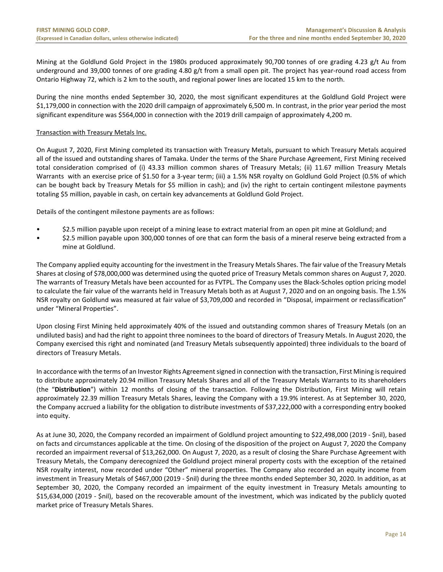Mining at the Goldlund Gold Project in the 1980s produced approximately 90,700 tonnes of ore grading 4.23 g/t Au from underground and 39,000 tonnes of ore grading 4.80 g/t from a small open pit. The project has year-round road access from Ontario Highway 72, which is 2 km to the south, and regional power lines are located 15 km to the north.

During the nine months ended September 30, 2020, the most significant expenditures at the Goldlund Gold Project were \$1,179,000 in connection with the 2020 drill campaign of approximately 6,500 m. In contrast, in the prior year period the most significant expenditure was \$564,000 in connection with the 2019 drill campaign of approximately 4,200 m.

# Transaction with Treasury Metals Inc.

On August 7, 2020, First Mining completed its transaction with Treasury Metals, pursuant to which Treasury Metals acquired all of the issued and outstanding shares of Tamaka. Under the terms of the Share Purchase Agreement, First Mining received total consideration comprised of (i) 43.33 million common shares of Treasury Metals; (ii) 11.67 million Treasury Metals Warrants with an exercise price of \$1.50 for a 3-year term; (iii) a 1.5% NSR royalty on Goldlund Gold Project (0.5% of which can be bought back by Treasury Metals for \$5 million in cash); and (iv) the right to certain contingent milestone payments totaling \$5 million, payable in cash, on certain key advancements at Goldlund Gold Project.

Details of the contingent milestone payments are as follows:

- \$2.5 million payable upon receipt of a mining lease to extract material from an open pit mine at Goldlund; and
- \$2.5 million payable upon 300,000 tonnes of ore that can form the basis of a mineral reserve being extracted from a mine at Goldlund.

The Company applied equity accounting for the investment in the Treasury Metals Shares. The fair value of the Treasury Metals Shares at closing of \$78,000,000 was determined using the quoted price of Treasury Metals common shares on August 7, 2020. The warrants of Treasury Metals have been accounted for as FVTPL. The Company uses the Black-Scholes option pricing model to calculate the fair value of the warrants held in Treasury Metals both as at August 7, 2020 and on an ongoing basis. The 1.5% NSR royalty on Goldlund was measured at fair value of \$3,709,000 and recorded in "Disposal, impairment or reclassification" under "Mineral Properties".

Upon closing First Mining held approximately 40% of the issued and outstanding common shares of Treasury Metals (on an undiluted basis) and had the right to appoint three nominees to the board of directors of Treasury Metals. In August 2020, the Company exercised this right and nominated (and Treasury Metals subsequently appointed) three individuals to the board of directors of Treasury Metals.

In accordance with the terms of an Investor Rights Agreement signed in connection with the transaction, First Mining is required to distribute approximately 20.94 million Treasury Metals Shares and all of the Treasury Metals Warrants to its shareholders (the "**Distribution**") within 12 months of closing of the transaction. Following the Distribution, First Mining will retain approximately 22.39 million Treasury Metals Shares, leaving the Company with a 19.9% interest. As at September 30, 2020, the Company accrued a liability for the obligation to distribute investments of \$37,222,000 with a corresponding entry booked into equity.

As at June 30, 2020, the Company recorded an impairment of Goldlund project amounting to \$22,498,000 (2019 - \$nil), based on facts and circumstances applicable at the time. On closing of the disposition of the project on August 7, 2020 the Company recorded an impairment reversal of \$13,262,000. On August 7, 2020, as a result of closing the Share Purchase Agreement with Treasury Metals, the Company derecognized the Goldlund project mineral property costs with the exception of the retained NSR royalty interest, now recorded under "Other" mineral properties. The Company also recorded an equity income from investment in Treasury Metals of \$467,000 (2019 - \$nil) during the three months ended September 30, 2020. In addition, as at September 30, 2020, the Company recorded an impairment of the equity investment in Treasury Metals amounting to \$15,634,000 (2019 - \$nil), based on the recoverable amount of the investment, which was indicated by the publicly quoted market price of Treasury Metals Shares.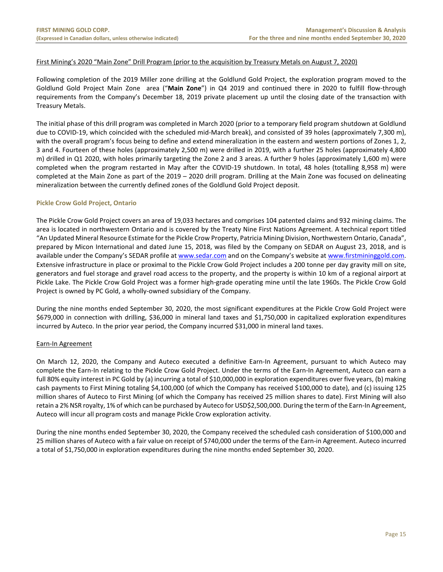# First Mining's 2020 "Main Zone" Drill Program (prior to the acquisition by Treasury Metals on August 7, 2020)

Following completion of the 2019 Miller zone drilling at the Goldlund Gold Project, the exploration program moved to the Goldlund Gold Project Main Zone area ("**Main Zone**") in Q4 2019 and continued there in 2020 to fulfill flow-through requirements from the Company's December 18, 2019 private placement up until the closing date of the transaction with Treasury Metals.

The initial phase of this drill program was completed in March 2020 (prior to a temporary field program shutdown at Goldlund due to COVID-19, which coincided with the scheduled mid-March break), and consisted of 39 holes (approximately 7,300 m), with the overall program's focus being to define and extend mineralization in the eastern and western portions of Zones 1, 2, 3 and 4. Fourteen of these holes (approximately 2,500 m) were drilled in 2019, with a further 25 holes (approximately 4,800 m) drilled in Q1 2020, with holes primarily targeting the Zone 2 and 3 areas. A further 9 holes (approximately 1,600 m) were completed when the program restarted in May after the COVID-19 shutdown. In total, 48 holes (totalling 8,958 m) were completed at the Main Zone as part of the 2019 – 2020 drill program. Drilling at the Main Zone was focused on delineating mineralization between the currently defined zones of the Goldlund Gold Project deposit.

#### **Pickle Crow Gold Project, Ontario**

The Pickle Crow Gold Project covers an area of 19,033 hectares and comprises 104 patented claims and 932 mining claims. The area is located in northwestern Ontario and is covered by the Treaty Nine First Nations Agreement. A technical report titled "An Updated Mineral Resource Estimate for the Pickle Crow Property, Patricia Mining Division, Northwestern Ontario, Canada", prepared by Micon International and dated June 15, 2018, was filed by the Company on SEDAR on August 23, 2018, and is available under the Company's SEDAR profile at [www.sedar.com](http://www.sedar.com/) and on the Company's website a[t www.firstmininggold.com.](http://www.firstmininggold.com/) Extensive infrastructure in place or proximal to the Pickle Crow Gold Project includes a 200 tonne per day gravity mill on site, generators and fuel storage and gravel road access to the property, and the property is within 10 km of a regional airport at Pickle Lake. The Pickle Crow Gold Project was a former high-grade operating mine until the late 1960s. The Pickle Crow Gold Project is owned by PC Gold, a wholly-owned subsidiary of the Company.

During the nine months ended September 30, 2020, the most significant expenditures at the Pickle Crow Gold Project were \$679,000 in connection with drilling, \$36,000 in mineral land taxes and \$1,750,000 in capitalized exploration expenditures incurred by Auteco. In the prior year period, the Company incurred \$31,000 in mineral land taxes.

#### Earn-In Agreement

On March 12, 2020, the Company and Auteco executed a definitive Earn-In Agreement, pursuant to which Auteco may complete the Earn-In relating to the Pickle Crow Gold Project. Under the terms of the Earn-In Agreement, Auteco can earn a full 80% equity interest in PC Gold by (a) incurring a total of \$10,000,000 in exploration expenditures over five years, (b) making cash payments to First Mining totaling \$4,100,000 (of which the Company has received \$100,000 to date), and (c) issuing 125 million shares of Auteco to First Mining (of which the Company has received 25 million shares to date). First Mining will also retain a 2% NSR royalty, 1% of which can be purchased by Auteco for USD\$2,500,000. During the term of the Earn-In Agreement, Auteco will incur all program costs and manage Pickle Crow exploration activity.

During the nine months ended September 30, 2020, the Company received the scheduled cash consideration of \$100,000 and 25 million shares of Auteco with a fair value on receipt of \$740,000 under the terms of the Earn-in Agreement. Auteco incurred a total of \$1,750,000 in exploration expenditures during the nine months ended September 30, 2020.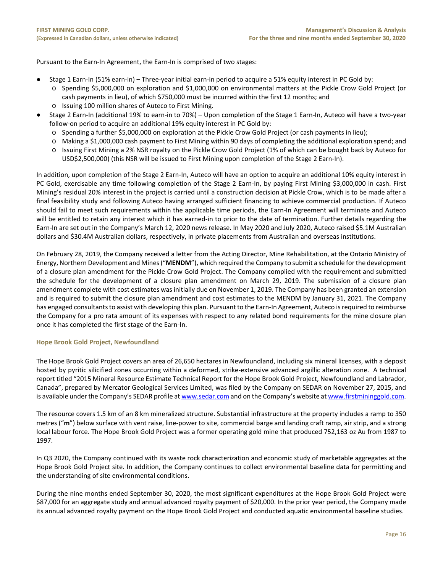Pursuant to the Earn-In Agreement, the Earn-In is comprised of two stages:

- Stage 1 Earn-In (51% earn-in) Three-year initial earn-in period to acquire a 51% equity interest in PC Gold by:
	- o Spending \$5,000,000 on exploration and \$1,000,000 on environmental matters at the Pickle Crow Gold Project (or cash payments in lieu), of which \$750,000 must be incurred within the first 12 months; and
	- o Issuing 100 million shares of Auteco to First Mining.
- Stage 2 Earn-In (additional 19% to earn-in to 70%) Upon completion of the Stage 1 Earn-In, Auteco will have a two-year follow-on period to acquire an additional 19% equity interest in PC Gold by:
	- o Spending a further \$5,000,000 on exploration at the Pickle Crow Gold Project (or cash payments in lieu);
	- o Making a \$1,000,000 cash payment to First Mining within 90 days of completing the additional exploration spend; and
	- o Issuing First Mining a 2% NSR royalty on the Pickle Crow Gold Project (1% of which can be bought back by Auteco for USD\$2,500,000) (this NSR will be issued to First Mining upon completion of the Stage 2 Earn-In).

In addition, upon completion of the Stage 2 Earn-In, Auteco will have an option to acquire an additional 10% equity interest in PC Gold, exercisable any time following completion of the Stage 2 Earn-In, by paying First Mining \$3,000,000 in cash. First Mining's residual 20% interest in the project is carried until a construction decision at Pickle Crow, which is to be made after a final feasibility study and following Auteco having arranged sufficient financing to achieve commercial production. If Auteco should fail to meet such requirements within the applicable time periods, the Earn-In Agreement will terminate and Auteco will be entitled to retain any interest which it has earned-in to prior to the date of termination. Further details regarding the Earn-In are set out in the Company's March 12, 2020 news release. In May 2020 and July 2020, Auteco raised \$5.1M Australian dollars and \$30.4M Australian dollars, respectively, in private placements from Australian and overseas institutions.

On February 28, 2019, the Company received a letter from the Acting Director, Mine Rehabilitation, at the Ontario Ministry of Energy, Northern Development and Mines ("**MENDM**"), which required the Company to submit a schedule for the development of a closure plan amendment for the Pickle Crow Gold Project. The Company complied with the requirement and submitted the schedule for the development of a closure plan amendment on March 29, 2019. The submission of a closure plan amendment complete with cost estimates was initially due on November 1, 2019. The Company has been granted an extension and is required to submit the closure plan amendment and cost estimates to the MENDM by January 31, 2021. The Company has engaged consultants to assist with developing this plan. Pursuant to the Earn-In Agreement, Auteco is required to reimburse the Company for a pro rata amount of its expenses with respect to any related bond requirements for the mine closure plan once it has completed the first stage of the Earn-In.

#### **Hope Brook Gold Project, Newfoundland**

The Hope Brook Gold Project covers an area of 26,650 hectares in Newfoundland, including six mineral licenses, with a deposit hosted by pyritic silicified zones occurring within a deformed, strike-extensive advanced argillic alteration zone. A technical report titled "2015 Mineral Resource Estimate Technical Report for the Hope Brook Gold Project, Newfoundland and Labrador, Canada", prepared by Mercator Geological Services Limited, was filed by the Company on SEDAR on November 27, 2015, and is available under the Company's SEDAR profile a[t www.sedar.com](http://www.sedar.com/) and on the Company's website a[t www.firstmininggold.com.](http://www.firstmininggold.com/)

The resource covers 1.5 km of an 8 km mineralized structure. Substantial infrastructure at the property includes a ramp to 350 metres ("**m**") below surface with vent raise, line-power to site, commercial barge and landing craft ramp, air strip, and a strong local labour force. The Hope Brook Gold Project was a former operating gold mine that produced 752,163 oz Au from 1987 to 1997.

In Q3 2020, the Company continued with its waste rock characterization and economic study of marketable aggregates at the Hope Brook Gold Project site. In addition, the Company continues to collect environmental baseline data for permitting and the understanding of site environmental conditions.

During the nine months ended September 30, 2020, the most significant expenditures at the Hope Brook Gold Project were \$87,000 for an aggregate study and annual advanced royalty payment of \$20,000. In the prior year period, the Company made its annual advanced royalty payment on the Hope Brook Gold Project and conducted aquatic environmental baseline studies.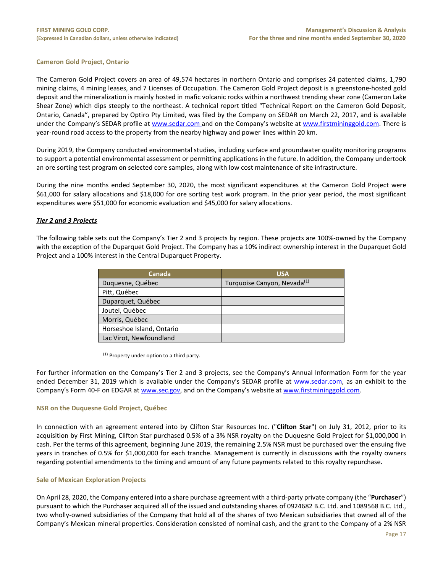# **Cameron Gold Project, Ontario**

The Cameron Gold Project covers an area of 49,574 hectares in northern Ontario and comprises 24 patented claims, 1,790 mining claims, 4 mining leases, and 7 Licenses of Occupation. The Cameron Gold Project deposit is a greenstone-hosted gold deposit and the mineralization is mainly hosted in mafic volcanic rocks within a northwest trending shear zone (Cameron Lake Shear Zone) which dips steeply to the northeast. A technical report titled "Technical Report on the Cameron Gold Deposit, Ontario, Canada", prepared by Optiro Pty Limited, was filed by the Company on SEDAR on March 22, 2017, and is available under the Company's SEDAR profile at [www.sedar.com](http://www.sedar.com/) and on the Company's website a[t www.firstmininggold.com.](http://www.firstmininggold.com/) There is year-round road access to the property from the nearby highway and power lines within 20 km.

During 2019, the Company conducted environmental studies, including surface and groundwater quality monitoring programs to support a potential environmental assessment or permitting applications in the future. In addition, the Company undertook an ore sorting test program on selected core samples, along with low cost maintenance of site infrastructure.

During the nine months ended September 30, 2020, the most significant expenditures at the Cameron Gold Project were \$61,000 for salary allocations and \$18,000 for ore sorting test work program. In the prior year period, the most significant expenditures were \$51,000 for economic evaluation and \$45,000 for salary allocations.

# *Tier 2 and 3 Projects*

The following table sets out the Company's Tier 2 and 3 projects by region. These projects are 100%-owned by the Company with the exception of the Duparquet Gold Project. The Company has a 10% indirect ownership interest in the Duparquet Gold Project and a 100% interest in the Central Duparquet Property.

| <b>Canada</b>             | <b>USA</b>                              |
|---------------------------|-----------------------------------------|
| Duquesne, Québec          | Turquoise Canyon, Nevada <sup>(1)</sup> |
| Pitt, Québec              |                                         |
| Duparquet, Québec         |                                         |
| Joutel, Québec            |                                         |
| Morris, Québec            |                                         |
| Horseshoe Island, Ontario |                                         |
| Lac Virot, Newfoundland   |                                         |

(1) Property under option to a third party.

For further information on the Company's Tier 2 and 3 projects, see the Company's Annual Information Form for the year ended December 31, 2019 which is available under the Company's SEDAR profile at [www.sedar.com,](http://www.sedar.com/) as an exhibit to the Company's Form 40-F on EDGAR at [www.sec.gov,](http://www.sec.gov/) and on the Company's website at [www.firstmininggold.com.](http://www.firstmininggold.com/)

#### **NSR on the Duquesne Gold Project, Québec**

In connection with an agreement entered into by Clifton Star Resources Inc. ("**Clifton Star**") on July 31, 2012, prior to its acquisition by First Mining, Clifton Star purchased 0.5% of a 3% NSR royalty on the Duquesne Gold Project for \$1,000,000 in cash. Per the terms of this agreement, beginning June 2019, the remaining 2.5% NSR must be purchased over the ensuing five years in tranches of 0.5% for \$1,000,000 for each tranche. Management is currently in discussions with the royalty owners regarding potential amendments to the timing and amount of any future payments related to this royalty repurchase.

#### **Sale of Mexican Exploration Projects**

On April 28, 2020, the Company entered into a share purchase agreement with a third-party private company (the "**Purchaser**") pursuant to which the Purchaser acquired all of the issued and outstanding shares of 0924682 B.C. Ltd. and 1089568 B.C. Ltd., two wholly-owned subsidiaries of the Company that hold all of the shares of two Mexican subsidiaries that owned all of the Company's Mexican mineral properties. Consideration consisted of nominal cash, and the grant to the Company of a 2% NSR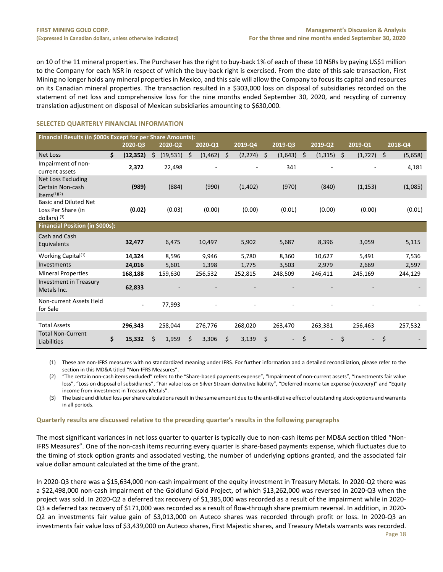on 10 of the 11 mineral properties. The Purchaser has the right to buy-back 1% of each of these 10 NSRs by paying US\$1 million to the Company for each NSR in respect of which the buy-back right is exercised. From the date of this sale transaction, First Mining no longer holds any mineral properties in Mexico, and this sale will allow the Company to focus its capital and resources on its Canadian mineral properties. The transaction resulted in a \$303,000 loss on disposal of subsidiaries recorded on the statement of net loss and comprehensive loss for the nine months ended September 30, 2020, and recycling of currency translation adjustment on disposal of Mexican subsidiaries amounting to \$630,000.

# <span id="page-18-0"></span>**SELECTED QUARTERLY FINANCIAL INFORMATION**

| Financial Results (in \$000s Except for per Share Amounts):          |    |             |    |           |    |          |    |             |               |    |                          |                |    |         |
|----------------------------------------------------------------------|----|-------------|----|-----------|----|----------|----|-------------|---------------|----|--------------------------|----------------|----|---------|
|                                                                      |    | $2020 - Q3$ |    | 2020-Q2   |    | 2020-Q1  |    | $2019 - Q4$ | 2019-Q3       |    | 2019-Q2                  | 2019-Q1        |    | 2018-Q4 |
| <b>Net Loss</b>                                                      | Ś. | (12, 352)   | Ś  | (19, 531) | Ś  | (1, 462) | \$ | (2, 274)    | \$<br>(1,643) | Ŝ. | (1, 315)                 | \$<br>(1, 727) | S. | (5,658) |
| Impairment of non-<br>current assets                                 |    | 2,372       |    | 22,498    |    | ۰        |    |             | 341           |    |                          |                |    | 4,181   |
| <b>Net Loss Excluding</b><br>Certain Non-cash<br>Items $(1)(2)$      |    | (989)       |    | (884)     |    | (990)    |    | (1,402)     | (970)         |    | (840)                    | (1, 153)       |    | (1,085) |
| <b>Basic and Diluted Net</b><br>Loss Per Share (in<br>dollars) $(3)$ |    | (0.02)      |    | (0.03)    |    | (0.00)   |    | (0.00)      | (0.01)        |    | (0.00)                   | (0.00)         |    | (0.01)  |
| <b>Financial Position (in \$000s):</b>                               |    |             |    |           |    |          |    |             |               |    |                          |                |    |         |
| Cash and Cash<br>Equivalents                                         |    | 32,477      |    | 6,475     |    | 10,497   |    | 5,902       | 5,687         |    | 8,396                    | 3,059          |    | 5,115   |
| Working Capital <sup>(1)</sup>                                       |    | 14,324      |    | 8,596     |    | 9,946    |    | 5,780       | 8,360         |    | 10,627                   | 5,491          |    | 7,536   |
| Investments                                                          |    | 24,016      |    | 5,601     |    | 1,398    |    | 1,775       | 3,503         |    | 2,979                    | 2,669          |    | 2,597   |
| <b>Mineral Properties</b>                                            |    | 168,188     |    | 159,630   |    | 256,532  |    | 252,815     | 248,509       |    | 246,411                  | 245,169        |    | 244,129 |
| <b>Investment in Treasury</b><br>Metals Inc.                         |    | 62,833      |    |           |    |          |    |             |               |    |                          |                |    |         |
| Non-current Assets Held<br>for Sale                                  |    |             |    | 77,993    |    |          |    |             |               |    |                          |                |    |         |
|                                                                      |    |             |    |           |    |          |    |             |               |    |                          |                |    |         |
| <b>Total Assets</b>                                                  |    | 296,343     |    | 258,044   |    | 276,776  |    | 268,020     | 263,470       |    | 263,381                  | 256,463        |    | 257,532 |
| <b>Total Non-Current</b><br>Liabilities                              | \$ | 15,332      | \$ | 1,959     | \$ | 3,306    | \$ | 3,139       | \$            | \$ | $\overline{\phantom{0}}$ | \$<br>$\sim$   | \$ |         |

(1) These are non-IFRS measures with no standardized meaning under IFRS. For further information and a detailed reconciliation, please refer to the section in this MD&A titled "Non-IFRS Measures".

(2) "The certain non-cash items excluded" refers to the "Share-based payments expense", "Impairment of non-current assets", "Investments fair value loss", "Loss on disposal of subsidiaries", "Fair value loss on Silver Stream derivative liability", "Deferred income tax expense (recovery)" and "Equity income from investment in Treasury Metals".

(3) The basic and diluted loss per share calculations result in the same amount due to the anti-dilutive effect of outstanding stock options and warrants in all periods.

#### **Quarterly results are discussed relative to the preceding quarter's results in the following paragraphs**

The most significant variances in net loss quarter to quarter is typically due to non-cash items per MD&A section titled "Non-IFRS Measures". One of the non-cash items recurring every quarter is share-based payments expense, which fluctuates due to the timing of stock option grants and associated vesting, the number of underlying options granted, and the associated fair value dollar amount calculated at the time of the grant.

In 2020-Q3 there was a \$15,634,000 non-cash impairment of the equity investment in Treasury Metals. In 2020-Q2 there was a \$22,498,000 non-cash impairment of the Goldlund Gold Project, of which \$13,262,000 was reversed in 2020-Q3 when the project was sold. In 2020-Q2 a deferred tax recovery of \$1,385,000 was recorded as a result of the impairment while in 2020- Q3 a deferred tax recovery of \$171,000 was recorded as a result of flow-through share premium reversal. In addition, in 2020- Q2 an investments fair value gain of \$3,013,000 on Auteco shares was recorded through profit or loss. In 2020-Q3 an investments fair value loss of \$3,439,000 on Auteco shares, First Majestic shares, and Treasury Metals warrants was recorded.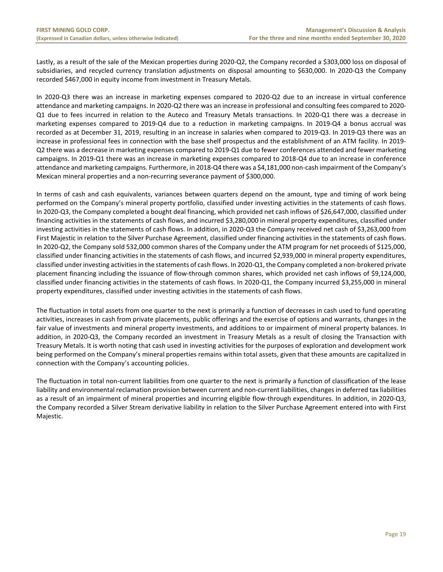Lastly, as a result of the sale of the Mexican properties during 2020-Q2, the Company recorded a \$303,000 loss on disposal of subsidiaries, and recycled currency translation adjustments on disposal amounting to \$630,000. In 2020-Q3 the Company recorded \$467,000 in equity income from investment in Treasury Metals.

In 2020-Q3 there was an increase in marketing expenses compared to 2020-Q2 due to an increase in virtual conference attendance and marketing campaigns. In 2020-Q2 there was an increase in professional and consulting fees compared to 2020- Q1 due to fees incurred in relation to the Auteco and Treasury Metals transactions. In 2020-Q1 there was a decrease in marketing expenses compared to 2019-Q4 due to a reduction in marketing campaigns. In 2019-Q4 a bonus accrual was recorded as at December 31, 2019, resulting in an increase in salaries when compared to 2019-Q3. In 2019-Q3 there was an increase in professional fees in connection with the base shelf prospectus and the establishment of an ATM facility. In 2019- Q2 there was a decrease in marketing expenses compared to 2019-Q1 due to fewer conferences attended and fewer marketing campaigns. In 2019-Q1 there was an increase in marketing expenses compared to 2018-Q4 due to an increase in conference attendance and marketing campaigns. Furthermore, in 2018-Q4 there was a \$4,181,000 non-cash impairment of the Company's Mexican mineral properties and a non-recurring severance payment of \$300,000.

In terms of cash and cash equivalents, variances between quarters depend on the amount, type and timing of work being performed on the Company's mineral property portfolio, classified under investing activities in the statements of cash flows. In 2020-Q3, the Company completed a bought deal financing, which provided net cash inflows of \$26,647,000, classified under financing activities in the statements of cash flows, and incurred \$3,280,000 in mineral property expenditures, classified under investing activities in the statements of cash flows. In addition, in 2020-Q3 the Company received net cash of \$3,263,000 from First Majestic in relation to the Silver Purchase Agreement, classified under financing activities in the statements of cash flows. In 2020-Q2, the Company sold 532,000 common shares of the Company under the ATM program for net proceeds of \$125,000, classified under financing activities in the statements of cash flows, and incurred \$2,939,000 in mineral property expenditures, classified under investing activities in the statements of cash flows. In 2020-Q1, the Company completed a non-brokered private placement financing including the issuance of flow-through common shares, which provided net cash inflows of \$9,124,000, classified under financing activities in the statements of cash flows. In 2020-Q1, the Company incurred \$3,255,000 in mineral property expenditures, classified under investing activities in the statements of cash flows.

The fluctuation in total assets from one quarter to the next is primarily a function of decreases in cash used to fund operating activities, increases in cash from private placements, public offerings and the exercise of options and warrants, changes in the fair value of investments and mineral property investments, and additions to or impairment of mineral property balances. In addition, in 2020-Q3, the Company recorded an investment in Treasury Metals as a result of closing the Transaction with Treasury Metals. It is worth noting that cash used in investing activities for the purposes of exploration and development work being performed on the Company's mineral properties remains within total assets, given that these amounts are capitalized in connection with the Company's accounting policies.

The fluctuation in total non-current liabilities from one quarter to the next is primarily a function of classification of the lease liability and environmental reclamation provision between current and non-current liabilities, changes in deferred tax liabilities as a result of an impairment of mineral properties and incurring eligible flow-through expenditures. In addition, in 2020-Q3, the Company recorded a Silver Stream derivative liability in relation to the Silver Purchase Agreement entered into with First Majestic.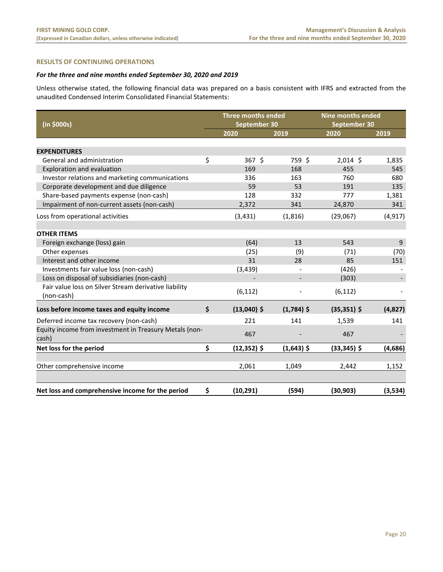# <span id="page-20-0"></span>**RESULTS OF CONTINUING OPERATIONS**

# *For the three and nine months ended September 30, 2020 and 2019*

Unless otherwise stated, the following financial data was prepared on a basis consistent with IFRS and extracted from the unaudited Condensed Interim Consolidated Financial Statements:

| (in \$000s)                                                     | Three months ended<br>September 30 |              | <b>Nine months ended</b><br>September 30 |          |
|-----------------------------------------------------------------|------------------------------------|--------------|------------------------------------------|----------|
|                                                                 | 2020                               | 2019         | 2020                                     | 2019     |
|                                                                 |                                    |              |                                          |          |
| <b>EXPENDITURES</b>                                             |                                    |              |                                          |          |
| General and administration                                      | \$<br>367 \$                       | 759 \$       | $2,014$ \$                               | 1,835    |
| Exploration and evaluation                                      | 169                                | 168          | 455                                      | 545      |
| Investor relations and marketing communications                 | 336                                | 163          | 760                                      | 680      |
| Corporate development and due diligence                         | 59                                 | 53           | 191                                      | 135      |
| Share-based payments expense (non-cash)                         | 128                                | 332          | 777                                      | 1,381    |
| Impairment of non-current assets (non-cash)                     | 2,372                              | 341          | 24,870                                   | 341      |
| Loss from operational activities                                | (3, 431)                           | (1, 816)     | (29,067)                                 | (4, 917) |
|                                                                 |                                    |              |                                          |          |
| <b>OTHER ITEMS</b>                                              |                                    |              |                                          |          |
| Foreign exchange (loss) gain                                    | (64)                               | 13           | 543                                      | 9        |
| Other expenses                                                  | (25)                               | (9)          | (71)                                     | (70)     |
| Interest and other income                                       | 31                                 | 28           | 85                                       | 151      |
| Investments fair value loss (non-cash)                          | (3, 439)                           |              | (426)                                    |          |
| Loss on disposal of subsidiaries (non-cash)                     |                                    |              | (303)                                    |          |
| Fair value loss on Silver Stream derivative liability           | (6, 112)                           |              | (6, 112)                                 |          |
| (non-cash)                                                      |                                    |              |                                          |          |
| Loss before income taxes and equity income                      | \$<br>$(13,040)$ \$                | $(1,784)$ \$ | $(35, 351)$ \$                           | (4,827)  |
| Deferred income tax recovery (non-cash)                         | 221                                | 141          | 1,539                                    | 141      |
| Equity income from investment in Treasury Metals (non-<br>cash) | 467                                |              | 467                                      |          |
| Net loss for the period                                         | \$<br>$(12, 352)$ \$               | $(1,643)$ \$ | $(33, 345)$ \$                           | (4,686)  |
|                                                                 |                                    |              |                                          |          |
| Other comprehensive income                                      | 2,061                              | 1,049        | 2,442                                    | 1,152    |
|                                                                 |                                    |              |                                          |          |
| Net loss and comprehensive income for the period                | \$<br>(10, 291)                    | (594)        | (30, 903)                                | (3,534)  |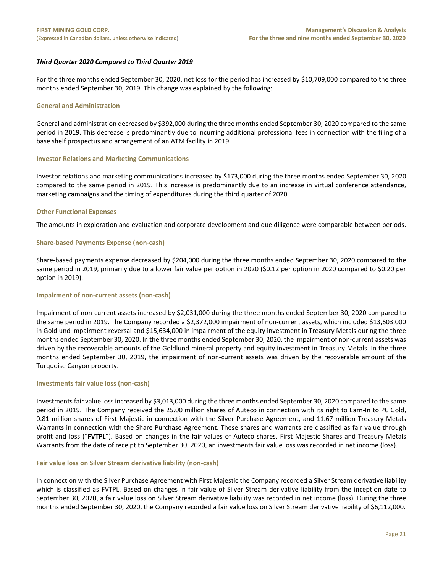# *Third Quarter 2020 Compared to Third Quarter 2019*

For the three months ended September 30, 2020, net loss for the period has increased by \$10,709,000 compared to the three months ended September 30, 2019. This change was explained by the following:

#### **General and Administration**

General and administration decreased by \$392,000 during the three months ended September 30, 2020 compared to the same period in 2019. This decrease is predominantly due to incurring additional professional fees in connection with the filing of a base shelf prospectus and arrangement of an ATM facility in 2019.

#### **Investor Relations and Marketing Communications**

Investor relations and marketing communications increased by \$173,000 during the three months ended September 30, 2020 compared to the same period in 2019. This increase is predominantly due to an increase in virtual conference attendance, marketing campaigns and the timing of expenditures during the third quarter of 2020.

#### **Other Functional Expenses**

The amounts in exploration and evaluation and corporate development and due diligence were comparable between periods.

#### **Share-based Payments Expense (non-cash)**

Share-based payments expense decreased by \$204,000 during the three months ended September 30, 2020 compared to the same period in 2019, primarily due to a lower fair value per option in 2020 (\$0.12 per option in 2020 compared to \$0.20 per option in 2019).

#### **Impairment of non-current assets (non-cash)**

Impairment of non-current assets increased by \$2,031,000 during the three months ended September 30, 2020 compared to the same period in 2019. The Company recorded a \$2,372,000 impairment of non-current assets, which included \$13,603,000 in Goldlund impairment reversal and \$15,634,000 in impairment of the equity investment in Treasury Metals during the three months ended September 30, 2020. In the three months ended September 30, 2020, the impairment of non-current assets was driven by the recoverable amounts of the Goldlund mineral property and equity investment in Treasury Metals. In the three months ended September 30, 2019, the impairment of non-current assets was driven by the recoverable amount of the Turquoise Canyon property.

#### **Investments fair value loss (non-cash)**

Investments fair value loss increased by \$3,013,000 during the three months ended September 30, 2020 compared to the same period in 2019. The Company received the 25.00 million shares of Auteco in connection with its right to Earn-In to PC Gold, 0.81 million shares of First Majestic in connection with the Silver Purchase Agreement, and 11.67 million Treasury Metals Warrants in connection with the Share Purchase Agreement. These shares and warrants are classified as fair value through profit and loss ("**FVTPL**"). Based on changes in the fair values of Auteco shares, First Majestic Shares and Treasury Metals Warrants from the date of receipt to September 30, 2020, an investments fair value loss was recorded in net income (loss).

#### **Fair value loss on Silver Stream derivative liability (non-cash)**

In connection with the Silver Purchase Agreement with First Majestic the Company recorded a Silver Stream derivative liability which is classified as FVTPL. Based on changes in fair value of Silver Stream derivative liability from the inception date to September 30, 2020, a fair value loss on Silver Stream derivative liability was recorded in net income (loss). During the three months ended September 30, 2020, the Company recorded a fair value loss on Silver Stream derivative liability of \$6,112,000.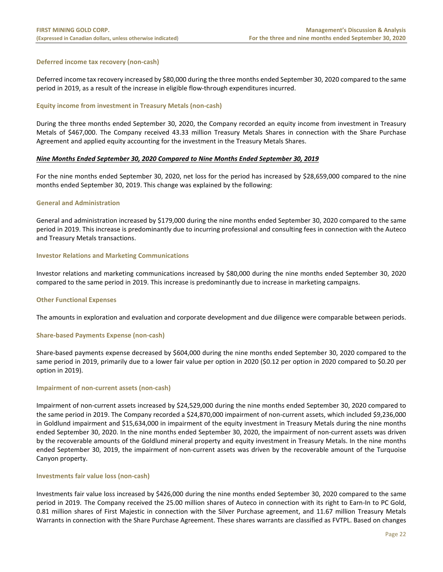#### **Deferred income tax recovery (non-cash)**

Deferred income tax recovery increased by \$80,000 during the three months ended September 30, 2020 compared to the same period in 2019, as a result of the increase in eligible flow-through expenditures incurred.

#### **Equity income from investment in Treasury Metals (non-cash)**

During the three months ended September 30, 2020, the Company recorded an equity income from investment in Treasury Metals of \$467,000. The Company received 43.33 million Treasury Metals Shares in connection with the Share Purchase Agreement and applied equity accounting for the investment in the Treasury Metals Shares.

#### *Nine Months Ended September 30, 2020 Compared to Nine Months Ended September 30, 2019*

For the nine months ended September 30, 2020, net loss for the period has increased by \$28,659,000 compared to the nine months ended September 30, 2019. This change was explained by the following:

#### **General and Administration**

General and administration increased by \$179,000 during the nine months ended September 30, 2020 compared to the same period in 2019. This increase is predominantly due to incurring professional and consulting fees in connection with the Auteco and Treasury Metals transactions.

#### **Investor Relations and Marketing Communications**

Investor relations and marketing communications increased by \$80,000 during the nine months ended September 30, 2020 compared to the same period in 2019. This increase is predominantly due to increase in marketing campaigns.

#### **Other Functional Expenses**

The amounts in exploration and evaluation and corporate development and due diligence were comparable between periods.

#### **Share-based Payments Expense (non-cash)**

Share-based payments expense decreased by \$604,000 during the nine months ended September 30, 2020 compared to the same period in 2019, primarily due to a lower fair value per option in 2020 (\$0.12 per option in 2020 compared to \$0.20 per option in 2019).

#### **Impairment of non-current assets (non-cash)**

Impairment of non-current assets increased by \$24,529,000 during the nine months ended September 30, 2020 compared to the same period in 2019. The Company recorded a \$24,870,000 impairment of non-current assets, which included \$9,236,000 in Goldlund impairment and \$15,634,000 in impairment of the equity investment in Treasury Metals during the nine months ended September 30, 2020. In the nine months ended September 30, 2020, the impairment of non-current assets was driven by the recoverable amounts of the Goldlund mineral property and equity investment in Treasury Metals. In the nine months ended September 30, 2019, the impairment of non-current assets was driven by the recoverable amount of the Turquoise Canyon property.

#### **Investments fair value loss (non-cash)**

Investments fair value loss increased by \$426,000 during the nine months ended September 30, 2020 compared to the same period in 2019. The Company received the 25.00 million shares of Auteco in connection with its right to Earn-In to PC Gold, 0.81 million shares of First Majestic in connection with the Silver Purchase agreement, and 11.67 million Treasury Metals Warrants in connection with the Share Purchase Agreement. These shares warrants are classified as FVTPL. Based on changes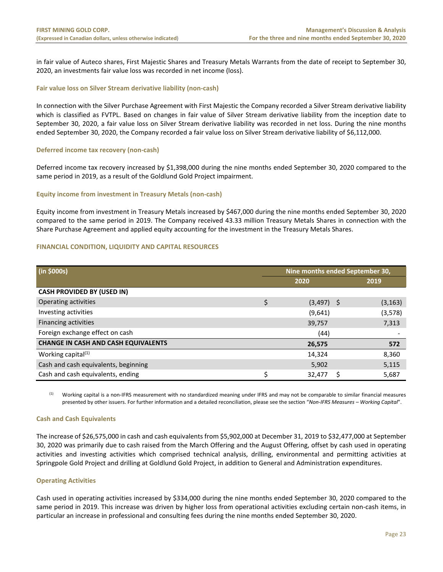in fair value of Auteco shares, First Majestic Shares and Treasury Metals Warrants from the date of receipt to September 30, 2020, an investments fair value loss was recorded in net income (loss).

#### **Fair value loss on Silver Stream derivative liability (non-cash)**

In connection with the Silver Purchase Agreement with First Majestic the Company recorded a Silver Stream derivative liability which is classified as FVTPL. Based on changes in fair value of Silver Stream derivative liability from the inception date to September 30, 2020, a fair value loss on Silver Stream derivative liability was recorded in net loss. During the nine months ended September 30, 2020, the Company recorded a fair value loss on Silver Stream derivative liability of \$6,112,000.

#### **Deferred income tax recovery (non-cash)**

Deferred income tax recovery increased by \$1,398,000 during the nine months ended September 30, 2020 compared to the same period in 2019, as a result of the Goldlund Gold Project impairment.

#### **Equity income from investment in Treasury Metals (non-cash)**

Equity income from investment in Treasury Metals increased by \$467,000 during the nine months ended September 30, 2020 compared to the same period in 2019. The Company received 43.33 million Treasury Metals Shares in connection with the Share Purchase Agreement and applied equity accounting for the investment in the Treasury Metals Shares.

#### <span id="page-23-0"></span>**FINANCIAL CONDITION, LIQUIDITY AND CAPITAL RESOURCES**

| (in \$000s)                                | Nine months ended September 30, |              |  |          |  |
|--------------------------------------------|---------------------------------|--------------|--|----------|--|
|                                            |                                 | 2020         |  | 2019     |  |
| <b>CASH PROVIDED BY (USED IN)</b>          |                                 |              |  |          |  |
| Operating activities                       | \$                              | $(3,497)$ \$ |  | (3, 163) |  |
| Investing activities                       |                                 | (9,641)      |  | (3, 578) |  |
| <b>Financing activities</b>                |                                 | 39,757       |  | 7,313    |  |
| Foreign exchange effect on cash            |                                 | (44)         |  |          |  |
| <b>CHANGE IN CASH AND CASH EQUIVALENTS</b> |                                 | 26,575       |  | 572      |  |
| Working capital <sup>(1)</sup>             |                                 | 14,324       |  | 8,360    |  |
| Cash and cash equivalents, beginning       |                                 | 5,902        |  | 5,115    |  |
| Cash and cash equivalents, ending          | \$                              | 32,477       |  | 5,687    |  |

(1) Working capital is a non-IFRS measurement with no standardized meaning under IFRS and may not be comparable to similar financial measures presented by other issuers. For further information and a detailed reconciliation, please see the section "*Non-IFRS Measures – Working Capital*".

#### **Cash and Cash Equivalents**

The increase of \$26,575,000 in cash and cash equivalents from \$5,902,000 at December 31, 2019 to \$32,477,000 at September 30, 2020 was primarily due to cash raised from the March Offering and the August Offering, offset by cash used in operating activities and investing activities which comprised technical analysis, drilling, environmental and permitting activities at Springpole Gold Project and drilling at Goldlund Gold Project, in addition to General and Administration expenditures.

#### **Operating Activities**

Cash used in operating activities increased by \$334,000 during the nine months ended September 30, 2020 compared to the same period in 2019. This increase was driven by higher loss from operational activities excluding certain non-cash items, in particular an increase in professional and consulting fees during the nine months ended September 30, 2020.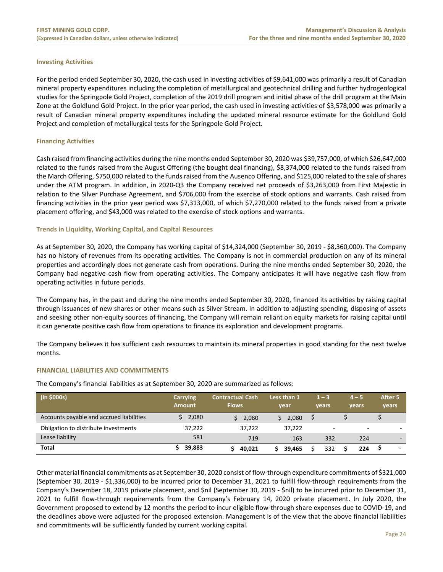#### **Investing Activities**

For the period ended September 30, 2020, the cash used in investing activities of \$9,641,000 was primarily a result of Canadian mineral property expenditures including the completion of metallurgical and geotechnical drilling and further hydrogeological studies for the Springpole Gold Project, completion of the 2019 drill program and initial phase of the drill program at the Main Zone at the Goldlund Gold Project. In the prior year period, the cash used in investing activities of \$3,578,000 was primarily a result of Canadian mineral property expenditures including the updated mineral resource estimate for the Goldlund Gold Project and completion of metallurgical tests for the Springpole Gold Project.

# **Financing Activities**

Cash raised from financing activities during the nine months ended September 30, 2020 was \$39,757,000, of which \$26,647,000 related to the funds raised from the August Offering (the bought deal financing), \$8,374,000 related to the funds raised from the March Offering, \$750,000 related to the funds raised from the Ausenco Offering, and \$125,000 related to the sale of shares under the ATM program. In addition, in 2020-Q3 the Company received net proceeds of \$3,263,000 from First Majestic in relation to the Silver Purchase Agreement, and \$706,000 from the exercise of stock options and warrants. Cash raised from financing activities in the prior year period was \$7,313,000, of which \$7,270,000 related to the funds raised from a private placement offering, and \$43,000 was related to the exercise of stock options and warrants.

# **Trends in Liquidity, Working Capital, and Capital Resources**

As at September 30, 2020, the Company has working capital of \$14,324,000 (September 30, 2019 - \$8,360,000). The Company has no history of revenues from its operating activities. The Company is not in commercial production on any of its mineral properties and accordingly does not generate cash from operations. During the nine months ended September 30, 2020, the Company had negative cash flow from operating activities. The Company anticipates it will have negative cash flow from operating activities in future periods.

The Company has, in the past and during the nine months ended September 30, 2020, financed its activities by raising capital through issuances of new shares or other means such as Silver Stream. In addition to adjusting spending, disposing of assets and seeking other non-equity sources of financing, the Company will remain reliant on equity markets for raising capital until it can generate positive cash flow from operations to finance its exploration and development programs.

The Company believes it has sufficient cash resources to maintain its mineral properties in good standing for the next twelve months.

#### **FINANCIAL LIABILITIES AND COMMITMENTS**

The Company's financial liabilities as at September 30, 2020 are summarized as follows:

| (in \$000s)                              | <b>Carrying</b><br><b>Amount</b> | <b>Contractual Cash</b><br><b>Flows</b> | Less than 1<br>year | $1 - 3$<br>vears | $4 - 5$<br>vears | After 5<br>years         |
|------------------------------------------|----------------------------------|-----------------------------------------|---------------------|------------------|------------------|--------------------------|
| Accounts payable and accrued liabilities | 2,080                            | \$2,080                                 | 2,080<br>S.         |                  |                  |                          |
| Obligation to distribute investments     | 37,222                           | 37.222                                  | 37,222              |                  |                  | -                        |
| Lease liability                          | 581                              | 719                                     | 163                 | 332              | 224              | $\overline{\phantom{a}}$ |
| <b>Total</b>                             | 39,883                           | 40.021                                  | 39.465              | 332              | 224              | -                        |

Other material financial commitments as at September 30, 2020 consist of flow-through expenditure commitments of \$321,000 (September 30, 2019 - \$1,336,000) to be incurred prior to December 31, 2021 to fulfill flow-through requirements from the Company's December 18, 2019 private placement, and \$nil (September 30, 2019 - \$nil) to be incurred prior to December 31, 2021 to fulfill flow-through requirements from the Company's February 14, 2020 private placement. In July 2020, the Government proposed to extend by 12 months the period to incur eligible flow-through share expenses due to COVID-19, and the deadlines above were adjusted for the proposed extension. Management is of the view that the above financial liabilities and commitments will be sufficiently funded by current working capital.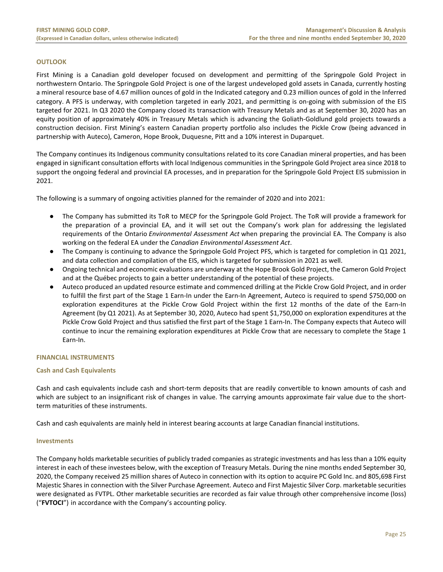# <span id="page-25-0"></span>**OUTLOOK**

First Mining is a Canadian gold developer focused on development and permitting of the Springpole Gold Project in northwestern Ontario. The Springpole Gold Project is one of the largest undeveloped gold assets in Canada, currently hosting a mineral resource base of 4.67 million ounces of gold in the Indicated category and 0.23 million ounces of gold in the Inferred category. A PFS is underway, with completion targeted in early 2021, and permitting is on-going with submission of the EIS targeted for 2021. In Q3 2020 the Company closed its transaction with Treasury Metals and as at September 30, 2020 has an equity position of approximately 40% in Treasury Metals which is advancing the Goliath-Goldlund gold projects towards a construction decision. First Mining's eastern Canadian property portfolio also includes the Pickle Crow (being advanced in partnership with Auteco), Cameron, Hope Brook, Duquesne, Pitt and a 10% interest in Duparquet.

The Company continues its Indigenous community consultations related to its core Canadian mineral properties, and has been engaged in significant consultation efforts with local Indigenous communities in the Springpole Gold Project area since 2018 to support the ongoing federal and provincial EA processes, and in preparation for the Springpole Gold Project EIS submission in 2021.

The following is a summary of ongoing activities planned for the remainder of 2020 and into 2021:

- The Company has submitted its ToR to MECP for the Springpole Gold Project. The ToR will provide a framework for the preparation of a provincial EA, and it will set out the Company's work plan for addressing the legislated requirements of the Ontario *Environmental Assessment Act* when preparing the provincial EA. The Company is also working on the federal EA under the *Canadian Environmental Assessment Act*.
- The Company is continuing to advance the Springpole Gold Project PFS, which is targeted for completion in Q1 2021, and data collection and compilation of the EIS, which is targeted for submission in 2021 as well.
- Ongoing technical and economic evaluations are underway at the Hope Brook Gold Project, the Cameron Gold Project and at the Québec projects to gain a better understanding of the potential of these projects.
- Auteco produced an updated resource estimate and commenced drilling at the Pickle Crow Gold Project, and in order to fulfill the first part of the Stage 1 Earn-In under the Earn-In Agreement, Auteco is required to spend \$750,000 on exploration expenditures at the Pickle Crow Gold Project within the first 12 months of the date of the Earn-In Agreement (by Q1 2021). As at September 30, 2020, Auteco had spent \$1,750,000 on exploration expenditures at the Pickle Crow Gold Project and thus satisfied the first part of the Stage 1 Earn-In. The Company expects that Auteco will continue to incur the remaining exploration expenditures at Pickle Crow that are necessary to complete the Stage 1 Earn-In.

# <span id="page-25-1"></span>**FINANCIAL INSTRUMENTS**

#### **Cash and Cash Equivalents**

Cash and cash equivalents include cash and short-term deposits that are readily convertible to known amounts of cash and which are subject to an insignificant risk of changes in value. The carrying amounts approximate fair value due to the shortterm maturities of these instruments.

Cash and cash equivalents are mainly held in interest bearing accounts at large Canadian financial institutions.

#### **Investments**

The Company holds marketable securities of publicly traded companies as strategic investments and has less than a 10% equity interest in each of these investees below, with the exception of Treasury Metals. During the nine months ended September 30, 2020, the Company received 25 million shares of Auteco in connection with its option to acquire PC Gold Inc. and 805,698 First Majestic Shares in connection with the Silver Purchase Agreement. Auteco and First Majestic Silver Corp. marketable securities were designated as FVTPL. Other marketable securities are recorded as fair value through other comprehensive income (loss) ("**FVTOCI**") in accordance with the Company's accounting policy.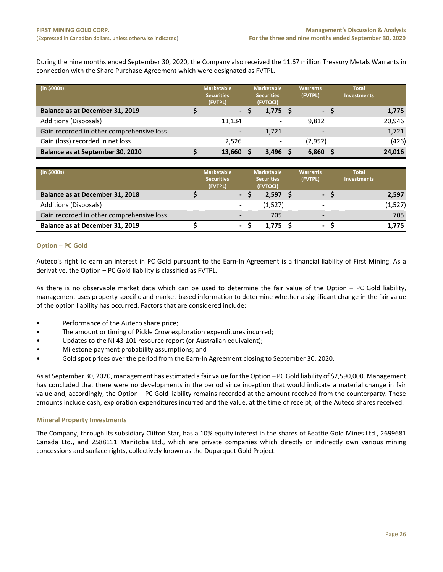During the nine months ended September 30, 2020, the Company also received the 11.67 million Treasury Metals Warrants in connection with the Share Purchase Agreement which were designated as FVTPL.

| (in \$000s)                               | <b>Marketable</b><br><b>Securities</b><br>(FVTPL) | <b>Marketable</b><br><b>Securities</b><br>(FVTOCI) | <b>Warrants</b><br>(FVTPL) | <b>Total</b><br><b>Investments</b> |        |
|-------------------------------------------|---------------------------------------------------|----------------------------------------------------|----------------------------|------------------------------------|--------|
| Balance as at December 31, 2019           | $\sim$                                            | $1,775$ \$                                         | - S                        |                                    | 1,775  |
| Additions (Disposals)                     | 11.134                                            |                                                    | 9.812                      |                                    | 20,946 |
| Gain recorded in other comprehensive loss |                                                   | 1,721                                              |                            |                                    | 1,721  |
| Gain (loss) recorded in net loss          | 2,526                                             | -                                                  | (2,952)                    |                                    | (426)  |
| Balance as at September 30, 2020          | 13,660                                            | 3,496                                              | 6,860                      |                                    | 24,016 |

| (in \$000s)                               | <b>Marketable</b><br><b>Securities</b><br>(FVTPL) |                          | <b>Marketable</b><br><b>Securities</b><br>(FVTOCI) | <b>Warrants</b><br>(FVTPL) | <b>Total</b><br><b>Investments</b> |          |
|-------------------------------------------|---------------------------------------------------|--------------------------|----------------------------------------------------|----------------------------|------------------------------------|----------|
| Balance as at December 31, 2018           |                                                   | $\sim$                   | 2,597                                              | $\sim$                     |                                    | 2,597    |
| Additions (Disposals)                     |                                                   |                          | (1,527)                                            |                            |                                    | (1, 527) |
| Gain recorded in other comprehensive loss |                                                   | -                        | 705                                                | $\overline{\phantom{0}}$   |                                    | 705      |
| Balance as at December 31, 2019           |                                                   | $\overline{\phantom{a}}$ | 1.775                                              | ۰.                         |                                    | 1.775    |

# **Option – PC Gold**

Auteco's right to earn an interest in PC Gold pursuant to the Earn-In Agreement is a financial liability of First Mining. As a derivative, the Option – PC Gold liability is classified as FVTPL.

As there is no observable market data which can be used to determine the fair value of the Option – PC Gold liability, management uses property specific and market-based information to determine whether a significant change in the fair value of the option liability has occurred. Factors that are considered include:

- Performance of the Auteco share price;
- The amount or timing of Pickle Crow exploration expenditures incurred;
- Updates to the NI 43-101 resource report (or Australian equivalent);
- Milestone payment probability assumptions; and
- Gold spot prices over the period from the Earn-In Agreement closing to September 30, 2020.

As at September 30, 2020, management has estimated a fair value for the Option – PC Gold liability of \$2,590,000. Management has concluded that there were no developments in the period since inception that would indicate a material change in fair value and, accordingly, the Option – PC Gold liability remains recorded at the amount received from the counterparty. These amounts include cash, exploration expenditures incurred and the value, at the time of receipt, of the Auteco shares received.

#### **Mineral Property Investments**

The Company, through its subsidiary Clifton Star, has a 10% equity interest in the shares of Beattie Gold Mines Ltd., 2699681 Canada Ltd., and 2588111 Manitoba Ltd., which are private companies which directly or indirectly own various mining concessions and surface rights, collectively known as the Duparquet Gold Project.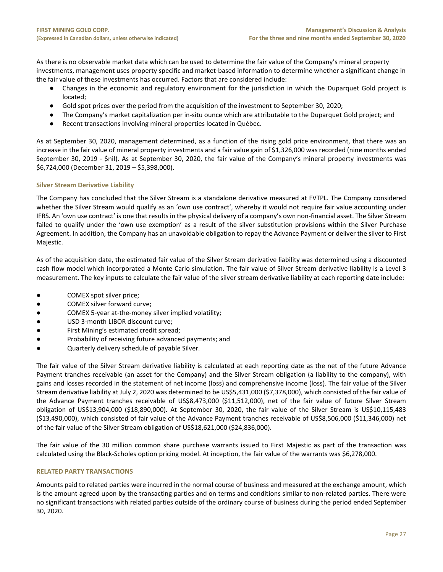As there is no observable market data which can be used to determine the fair value of the Company's mineral property investments, management uses property specific and market-based information to determine whether a significant change in the fair value of these investments has occurred. Factors that are considered include:

- Changes in the economic and regulatory environment for the jurisdiction in which the Duparquet Gold project is located;
- Gold spot prices over the period from the acquisition of the investment to September 30, 2020;
- The Company's market capitalization per in-situ ounce which are attributable to the Duparquet Gold project; and
- Recent transactions involving mineral properties located in Québec.

As at September 30, 2020, management determined, as a function of the rising gold price environment, that there was an increase in the fair value of mineral property investments and a fair value gain of \$1,326,000 was recorded (nine months ended September 30, 2019 - \$nil). As at September 30, 2020, the fair value of the Company's mineral property investments was \$6,724,000 (December 31, 2019 – \$5,398,000).

# **Silver Stream Derivative Liability**

The Company has concluded that the Silver Stream is a standalone derivative measured at FVTPL. The Company considered whether the Silver Stream would qualify as an 'own use contract', whereby it would not require fair value accounting under IFRS. An 'own use contract' is one that results in the physical delivery of a company's own non-financial asset. The Silver Stream failed to qualify under the 'own use exemption' as a result of the silver substitution provisions within the Silver Purchase Agreement. In addition, the Company has an unavoidable obligation to repay the Advance Payment or deliver the silver to First Majestic.

As of the acquisition date, the estimated fair value of the Silver Stream derivative liability was determined using a discounted cash flow model which incorporated a Monte Carlo simulation. The fair value of Silver Stream derivative liability is a Level 3 measurement. The key inputs to calculate the fair value of the silver stream derivative liability at each reporting date include:

- COMEX spot silver price;
- COMEX silver forward curve;
- COMEX 5-year at-the-money silver implied volatility;
- USD 3-month LIBOR discount curve;
- First Mining's estimated credit spread;
- Probability of receiving future advanced payments; and
- Quarterly delivery schedule of payable Silver.

The fair value of the Silver Stream derivative liability is calculated at each reporting date as the net of the future Advance Payment tranches receivable (an asset for the Company) and the Silver Stream obligation (a liability to the company), with gains and losses recorded in the statement of net income (loss) and comprehensive income (loss). The fair value of the Silver Stream derivative liability at July 2, 2020 was determined to be US\$5,431,000 (\$7,378,000), which consisted of the fair value of the Advance Payment tranches receivable of US\$8,473,000 (\$11,512,000), net of the fair value of future Silver Stream obligation of US\$13,904,000 (\$18,890,000). At September 30, 2020, the fair value of the Silver Stream is US\$10,115,483 (\$13,490,000), which consisted of fair value of the Advance Payment tranches receivable of US\$8,506,000 (\$11,346,000) net of the fair value of the Silver Stream obligation of US\$18,621,000 (\$24,836,000).

The fair value of the 30 million common share purchase warrants issued to First Majestic as part of the transaction was calculated using the Black-Scholes option pricing model. At inception, the fair value of the warrants was \$6,278,000.

# <span id="page-27-0"></span>**RELATED PARTY TRANSACTIONS**

Amounts paid to related parties were incurred in the normal course of business and measured at the exchange amount, which is the amount agreed upon by the transacting parties and on terms and conditions similar to non-related parties. There were no significant transactions with related parties outside of the ordinary course of business during the period ended September 30, 2020.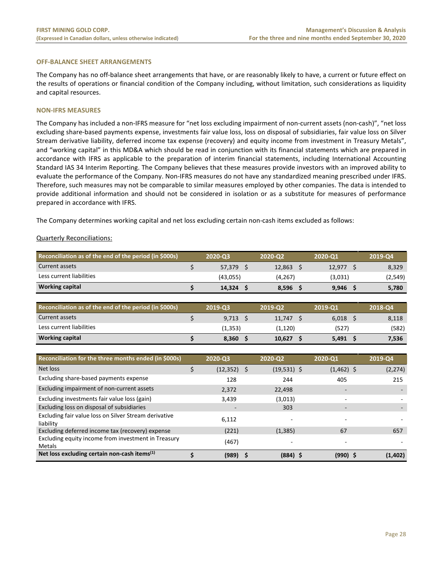#### <span id="page-28-0"></span>**OFF-BALANCE SHEET ARRANGEMENTS**

The Company has no off-balance sheet arrangements that have, or are reasonably likely to have, a current or future effect on the results of operations or financial condition of the Company including, without limitation, such considerations as liquidity and capital resources.

#### <span id="page-28-1"></span>**NON-IFRS MEASURES**

The Company has included a non-IFRS measure for "net loss excluding impairment of non-current assets (non-cash)", "net loss excluding share-based payments expense, investments fair value loss, loss on disposal of subsidiaries, fair value loss on Silver Stream derivative liability, deferred income tax expense (recovery) and equity income from investment in Treasury Metals", and "working capital" in this MD&A which should be read in conjunction with its financial statements which are prepared in accordance with IFRS as applicable to the preparation of interim financial statements, including International Accounting Standard IAS 34 Interim Reporting. The Company believes that these measures provide investors with an improved ability to evaluate the performance of the Company. Non-IFRS measures do not have any standardized meaning prescribed under IFRS. Therefore, such measures may not be comparable to similar measures employed by other companies. The data is intended to provide additional information and should not be considered in isolation or as a substitute for measures of performance prepared in accordance with IFRS.

The Company determines working capital and net loss excluding certain non-cash items excluded as follows:

#### Quarterly Reconciliations:

| Reconciliation as of the end of the period (in \$000s) | 2020-Q3  | 2020-02  | 2020-01 | 2019-Q4  |
|--------------------------------------------------------|----------|----------|---------|----------|
| Current assets                                         | 57.379   | 12,863   | 12.977  | 8,329    |
| Less current liabilities                               | (43.055) | (4, 267) | (3,031) | (2, 549) |
| <b>Working capital</b>                                 | 14.324   | 8.596    | 9,946   | 5,780    |
|                                                        |          |          |         |          |

| Reconciliation as of the end of the period (in \$000s) | 2019-03 | 2019-02 | 2019-01 | 2018-Q4 |
|--------------------------------------------------------|---------|---------|---------|---------|
| Current assets                                         | 9,713   | 11.747  | 6.018   | 8,118   |
| Less current liabilities                               | (1,353) | (1,120) | (527)   | (582)   |
| <b>Working capital</b>                                 | 8.360   | 10.627  | 5.491   | 7,536   |

| Reconciliation for the three months ended (in \$000s)                | 2020-03        | 2020-02       | 2020-Q1      | 2019-Q4  |
|----------------------------------------------------------------------|----------------|---------------|--------------|----------|
| Net loss                                                             | (12, 352)<br>S | $(19,531)$ \$ | $(1,462)$ \$ | (2, 274) |
| Excluding share-based payments expense                               | 128            | 244           | 405          | 215      |
| Excluding impairment of non-current assets                           | 2,372          | 22,498        | -            |          |
| Excluding investments fair value loss (gain)                         | 3,439          | (3,013)       |              |          |
| Excluding loss on disposal of subsidiaries                           |                | 303           |              |          |
| Excluding fair value loss on Silver Stream derivative<br>liability   | 6,112          |               |              |          |
| Excluding deferred income tax (recovery) expense                     | (221)          | (1, 385)      | 67           | 657      |
| Excluding equity income from investment in Treasury<br><b>Metals</b> | (467)          |               |              |          |
| Net loss excluding certain non-cash items <sup>(1)</sup>             | (989)          | $(884)$ \$    | $(990)$ \$   | (1,402)  |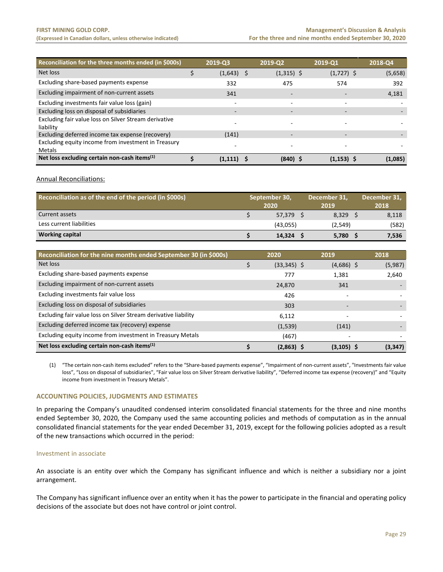| Reconciliation for the three months ended (in \$000s)              | 2019-03       | 2019-02                  | 2019-Q1       | 2018-Q4 |
|--------------------------------------------------------------------|---------------|--------------------------|---------------|---------|
| Net loss                                                           | (1,643)<br>-S | $(1,315)$ \$             | $(1,727)$ \$  | (5,658) |
| Excluding share-based payments expense                             | 332           | 475                      | 574           | 392     |
| Excluding impairment of non-current assets                         | 341           |                          |               | 4,181   |
| Excluding investments fair value loss (gain)                       |               | $\overline{\phantom{0}}$ |               |         |
| Excluding loss on disposal of subsidiaries                         |               | $\overline{\phantom{0}}$ | -             |         |
| Excluding fair value loss on Silver Stream derivative<br>liability |               |                          |               |         |
| Excluding deferred income tax expense (recovery)                   | (141)         |                          |               |         |
| Excluding equity income from investment in Treasury                |               |                          |               |         |
| Metals                                                             |               |                          |               |         |
| Net loss excluding certain non-cash items $(1)$                    | (1.111)       | (840)                    | $(1, 153)$ \$ | (1,085) |

Annual Reconciliations:

| Reconciliation as of the end of the period (in \$000s) | September 30,<br>2020 |          | December 31,<br>2019 |         | December 31,<br>2018 |
|--------------------------------------------------------|-----------------------|----------|----------------------|---------|----------------------|
| Current assets                                         |                       | 57.379   |                      | 8,329   | 8,118                |
| Less current liabilities                               |                       | (43,055) |                      | (2,549) | (582)                |
| <b>Working capital</b>                                 |                       | 14.324   |                      | 5,780   | 7,536                |

| Reconciliation for the nine months ended September 30 (in \$000s) | 2020          | 2019          | 2018     |
|-------------------------------------------------------------------|---------------|---------------|----------|
| Net loss                                                          | $(33,345)$ \$ | $(4,686)$ \$  | (5,987)  |
| Excluding share-based payments expense                            | 777           | 1.381         | 2,640    |
| Excluding impairment of non-current assets                        | 24,870        | 341           |          |
| Excluding investments fair value loss                             | 426           |               |          |
| Excluding loss on disposal of subsidiaries                        | 303           |               |          |
| Excluding fair value loss on Silver Stream derivative liability   | 6.112         |               |          |
| Excluding deferred income tax (recovery) expense                  | (1,539)       | (141)         |          |
| Excluding equity income from investment in Treasury Metals        | (467)         |               |          |
| Net loss excluding certain non-cash items <sup>(1)</sup>          | $(2,863)$ \$  | $(3, 105)$ \$ | (3, 347) |

(1) "The certain non-cash items excluded" refers to the "Share-based payments expense", "Impairment of non-current assets", "Investments fair value loss", "Loss on disposal of subsidiaries", "Fair value loss on Silver Stream derivative liability", "Deferred income tax expense (recovery)" and "Equity income from investment in Treasury Metals".

#### <span id="page-29-0"></span>**ACCOUNTING POLICIES, JUDGMENTS AND ESTIMATES**

In preparing the Company's unaudited condensed interim consolidated financial statements for the three and nine months ended September 30, 2020, the Company used the same accounting policies and methods of computation as in the annual consolidated financial statements for the year ended December 31, 2019, except for the following policies adopted as a result of the new transactions which occurred in the period:

## Investment in associate

An associate is an entity over which the Company has significant influence and which is neither a subsidiary nor a joint arrangement.

The Company has significant influence over an entity when it has the power to participate in the financial and operating policy decisions of the associate but does not have control or joint control.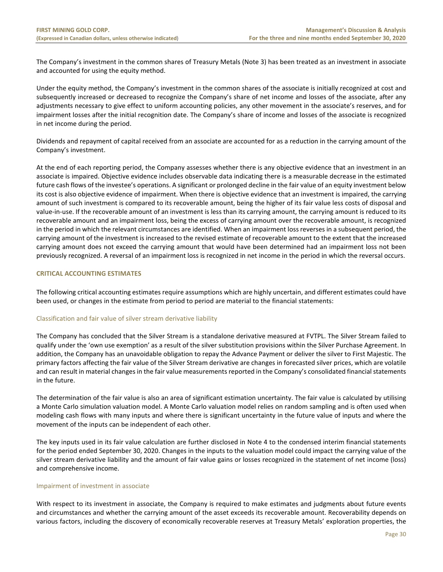The Company's investment in the common shares of Treasury Metals (Note 3) has been treated as an investment in associate and accounted for using the equity method.

Under the equity method, the Company's investment in the common shares of the associate is initially recognized at cost and subsequently increased or decreased to recognize the Company's share of net income and losses of the associate, after any adjustments necessary to give effect to uniform accounting policies, any other movement in the associate's reserves, and for impairment losses after the initial recognition date. The Company's share of income and losses of the associate is recognized in net income during the period.

Dividends and repayment of capital received from an associate are accounted for as a reduction in the carrying amount of the Company's investment.

At the end of each reporting period, the Company assesses whether there is any objective evidence that an investment in an associate is impaired. Objective evidence includes observable data indicating there is a measurable decrease in the estimated future cash flows of the investee's operations. A significant or prolonged decline in the fair value of an equity investment below its cost is also objective evidence of impairment. When there is objective evidence that an investment is impaired, the carrying amount of such investment is compared to its recoverable amount, being the higher of its fair value less costs of disposal and value-in-use. If the recoverable amount of an investment is less than its carrying amount, the carrying amount is reduced to its recoverable amount and an impairment loss, being the excess of carrying amount over the recoverable amount, is recognized in the period in which the relevant circumstances are identified. When an impairment loss reverses in a subsequent period, the carrying amount of the investment is increased to the revised estimate of recoverable amount to the extent that the increased carrying amount does not exceed the carrying amount that would have been determined had an impairment loss not been previously recognized. A reversal of an impairment loss is recognized in net income in the period in which the reversal occurs.

# <span id="page-30-0"></span>**CRITICAL ACCOUNTING ESTIMATES**

The following critical accounting estimates require assumptions which are highly uncertain, and different estimates could have been used, or changes in the estimate from period to period are material to the financial statements:

# Classification and fair value of silver stream derivative liability

The Company has concluded that the Silver Stream is a standalone derivative measured at FVTPL. The Silver Stream failed to qualify under the 'own use exemption' as a result of the silver substitution provisions within the Silver Purchase Agreement. In addition, the Company has an unavoidable obligation to repay the Advance Payment or deliver the silver to First Majestic. The primary factors affecting the fair value of the Silver Stream derivative are changes in forecasted silver prices, which are volatile and can result in material changes in the fair value measurements reported in the Company's consolidated financial statements in the future.

The determination of the fair value is also an area of significant estimation uncertainty. The fair value is calculated by utilising a Monte Carlo simulation valuation model. A Monte Carlo valuation model relies on random sampling and is often used when modeling cash flows with many inputs and where there is significant uncertainty in the future value of inputs and where the movement of the inputs can be independent of each other.

The key inputs used in its fair value calculation are further disclosed in Note 4 to the condensed interim financial statements for the period ended September 30, 2020. Changes in the inputs to the valuation model could impact the carrying value of the silver stream derivative liability and the amount of fair value gains or losses recognized in the statement of net income (loss) and comprehensive income.

#### Impairment of investment in associate

With respect to its investment in associate, the Company is required to make estimates and judgments about future events and circumstances and whether the carrying amount of the asset exceeds its recoverable amount. Recoverability depends on various factors, including the discovery of economically recoverable reserves at Treasury Metals' exploration properties, the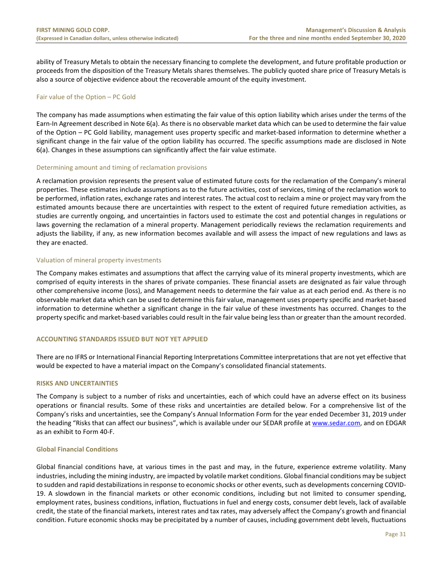ability of Treasury Metals to obtain the necessary financing to complete the development, and future profitable production or proceeds from the disposition of the Treasury Metals shares themselves. The publicly quoted share price of Treasury Metals is also a source of objective evidence about the recoverable amount of the equity investment.

# Fair value of the Option – PC Gold

The company has made assumptions when estimating the fair value of this option liability which arises under the terms of the Earn-In Agreement described in Note 6(a). As there is no observable market data which can be used to determine the fair value of the Option – PC Gold liability, management uses property specific and market-based information to determine whether a significant change in the fair value of the option liability has occurred. The specific assumptions made are disclosed in Note 6(a). Changes in these assumptions can significantly affect the fair value estimate.

#### Determining amount and timing of reclamation provisions

A reclamation provision represents the present value of estimated future costs for the reclamation of the Company's mineral properties. These estimates include assumptions as to the future activities, cost of services, timing of the reclamation work to be performed, inflation rates, exchange rates and interest rates. The actual cost to reclaim a mine or project may vary from the estimated amounts because there are uncertainties with respect to the extent of required future remediation activities, as studies are currently ongoing, and uncertainties in factors used to estimate the cost and potential changes in regulations or laws governing the reclamation of a mineral property. Management periodically reviews the reclamation requirements and adjusts the liability, if any, as new information becomes available and will assess the impact of new regulations and laws as they are enacted.

# Valuation of mineral property investments

The Company makes estimates and assumptions that affect the carrying value of its mineral property investments, which are comprised of equity interests in the shares of private companies. These financial assets are designated as fair value through other comprehensive income (loss), and Management needs to determine the fair value as at each period end. As there is no observable market data which can be used to determine this fair value, management uses property specific and market-based information to determine whether a significant change in the fair value of these investments has occurred. Changes to the property specific and market-based variables could result in the fair value being less than or greater than the amount recorded.

#### <span id="page-31-0"></span>**ACCOUNTING STANDARDS ISSUED BUT NOT YET APPLIED**

There are no IFRS or International Financial Reporting Interpretations Committee interpretations that are not yet effective that would be expected to have a material impact on the Company's consolidated financial statements.

#### <span id="page-31-1"></span>**RISKS AND UNCERTAINTIES**

The Company is subject to a number of risks and uncertainties, each of which could have an adverse effect on its business operations or financial results. Some of these risks and uncertainties are detailed below. For a comprehensive list of the Company's risks and uncertainties, see the Company's Annual Information Form for the year ended December 31, 2019 under the heading "Risks that can affect our business", which is available under our SEDAR profile at [www.sedar.com,](http://www.sedar.com/) and on EDGAR as an exhibit to Form 40-F.

#### **Global Financial Conditions**

Global financial conditions have, at various times in the past and may, in the future, experience extreme volatility. Many industries, including the mining industry, are impacted by volatile market conditions. Global financial conditions may be subject to sudden and rapid destabilizations in response to economic shocks or other events, such as developments concerning COVID-19. A slowdown in the financial markets or other economic conditions, including but not limited to consumer spending, employment rates, business conditions, inflation, fluctuations in fuel and energy costs, consumer debt levels, lack of available credit, the state of the financial markets, interest rates and tax rates, may adversely affect the Company's growth and financial condition. Future economic shocks may be precipitated by a number of causes, including government debt levels, fluctuations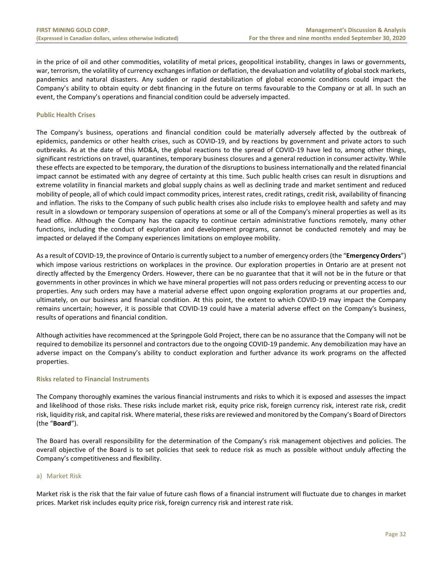in the price of oil and other commodities, volatility of metal prices, geopolitical instability, changes in laws or governments, war, terrorism, the volatility of currency exchanges inflation or deflation, the devaluation and volatility of global stock markets, pandemics and natural disasters. Any sudden or rapid destabilization of global economic conditions could impact the Company's ability to obtain equity or debt financing in the future on terms favourable to the Company or at all. In such an event, the Company's operations and financial condition could be adversely impacted.

# **Public Health Crises**

The Company's business, operations and financial condition could be materially adversely affected by the outbreak of epidemics, pandemics or other health crises, such as COVID-19, and by reactions by government and private actors to such outbreaks. As at the date of this MD&A, the global reactions to the spread of COVID-19 have led to, among other things, significant restrictions on travel, quarantines, temporary business closures and a general reduction in consumer activity. While these effects are expected to be temporary, the duration of the disruptions to business internationally and the related financial impact cannot be estimated with any degree of certainty at this time. Such public health crises can result in disruptions and extreme volatility in financial markets and global supply chains as well as declining trade and market sentiment and reduced mobility of people, all of which could impact commodity prices, interest rates, credit ratings, credit risk, availability of financing and inflation. The risks to the Company of such public health crises also include risks to employee health and safety and may result in a slowdown or temporary suspension of operations at some or all of the Company's mineral properties as well as its head office. Although the Company has the capacity to continue certain administrative functions remotely, many other functions, including the conduct of exploration and development programs, cannot be conducted remotely and may be impacted or delayed if the Company experiences limitations on employee mobility.

As a result of COVID-19, the province of Ontario is currently subject to a number of emergency orders (the "**Emergency Orders**") which impose various restrictions on workplaces in the province. Our exploration properties in Ontario are at present not directly affected by the Emergency Orders. However, there can be no guarantee that that it will not be in the future or that governments in other provinces in which we have mineral properties will not pass orders reducing or preventing access to our properties. Any such orders may have a material adverse effect upon ongoing exploration programs at our properties and, ultimately, on our business and financial condition. At this point, the extent to which COVID-19 may impact the Company remains uncertain; however, it is possible that COVID-19 could have a material adverse effect on the Company's business, results of operations and financial condition.

Although activities have recommenced at the Springpole Gold Project, there can be no assurance that the Company will not be required to demobilize its personnel and contractors due to the ongoing COVID-19 pandemic. Any demobilization may have an adverse impact on the Company's ability to conduct exploration and further advance its work programs on the affected properties.

# **Risks related to Financial Instruments**

The Company thoroughly examines the various financial instruments and risks to which it is exposed and assesses the impact and likelihood of those risks. These risks include market risk, equity price risk, foreign currency risk, interest rate risk, credit risk, liquidity risk, and capital risk. Where material, these risks are reviewed and monitored by the Company's Board of Directors (the "**Board**").

The Board has overall responsibility for the determination of the Company's risk management objectives and policies. The overall objective of the Board is to set policies that seek to reduce risk as much as possible without unduly affecting the Company's competitiveness and flexibility.

# a) Market Risk

Market risk is the risk that the fair value of future cash flows of a financial instrument will fluctuate due to changes in market prices. Market risk includes equity price risk, foreign currency risk and interest rate risk.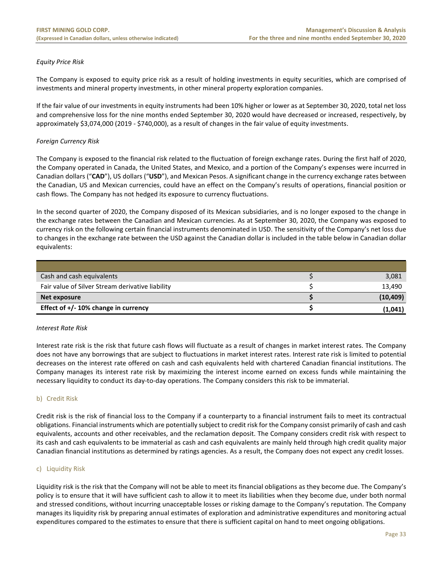# *Equity Price Risk*

The Company is exposed to equity price risk as a result of holding investments in equity securities, which are comprised of investments and mineral property investments, in other mineral property exploration companies.

If the fair value of our investments in equity instruments had been 10% higher or lower as at September 30, 2020, total net loss and comprehensive loss for the nine months ended September 30, 2020 would have decreased or increased, respectively, by approximately \$3,074,000 (2019 - \$740,000), as a result of changes in the fair value of equity investments.

# *Foreign Currency Risk*

The Company is exposed to the financial risk related to the fluctuation of foreign exchange rates. During the first half of 2020, the Company operated in Canada, the United States, and Mexico, and a portion of the Company's expenses were incurred in Canadian dollars ("**CAD**"), US dollars ("**USD**"), and Mexican Pesos. A significant change in the currency exchange rates between the Canadian, US and Mexican currencies, could have an effect on the Company's results of operations, financial position or cash flows. The Company has not hedged its exposure to currency fluctuations.

In the second quarter of 2020, the Company disposed of its Mexican subsidiaries, and is no longer exposed to the change in the exchange rates between the Canadian and Mexican currencies. As at September 30, 2020, the Company was exposed to currency risk on the following certain financial instruments denominated in USD. The sensitivity of the Company's net loss due to changes in the exchange rate between the USD against the Canadian dollar is included in the table below in Canadian dollar equivalents:

| Cash and cash equivalents                        | 3,081     |
|--------------------------------------------------|-----------|
| Fair value of Silver Stream derivative liability | 13.490    |
| Net exposure                                     | (10, 409) |
| Effect of $+/- 10\%$ change in currency          | (1,041)   |

#### *Interest Rate Risk*

Interest rate risk is the risk that future cash flows will fluctuate as a result of changes in market interest rates. The Company does not have any borrowings that are subject to fluctuations in market interest rates. Interest rate risk is limited to potential decreases on the interest rate offered on cash and cash equivalents held with chartered Canadian financial institutions. The Company manages its interest rate risk by maximizing the interest income earned on excess funds while maintaining the necessary liquidity to conduct its day-to-day operations. The Company considers this risk to be immaterial.

#### b) Credit Risk

Credit risk is the risk of financial loss to the Company if a counterparty to a financial instrument fails to meet its contractual obligations. Financial instruments which are potentially subject to credit risk for the Company consist primarily of cash and cash equivalents, accounts and other receivables, and the reclamation deposit. The Company considers credit risk with respect to its cash and cash equivalents to be immaterial as cash and cash equivalents are mainly held through high credit quality major Canadian financial institutions as determined by ratings agencies. As a result, the Company does not expect any credit losses.

#### c) Liquidity Risk

Liquidity risk is the risk that the Company will not be able to meet its financial obligations as they become due. The Company's policy is to ensure that it will have sufficient cash to allow it to meet its liabilities when they become due, under both normal and stressed conditions, without incurring unacceptable losses or risking damage to the Company's reputation. The Company manages its liquidity risk by preparing annual estimates of exploration and administrative expenditures and monitoring actual expenditures compared to the estimates to ensure that there is sufficient capital on hand to meet ongoing obligations.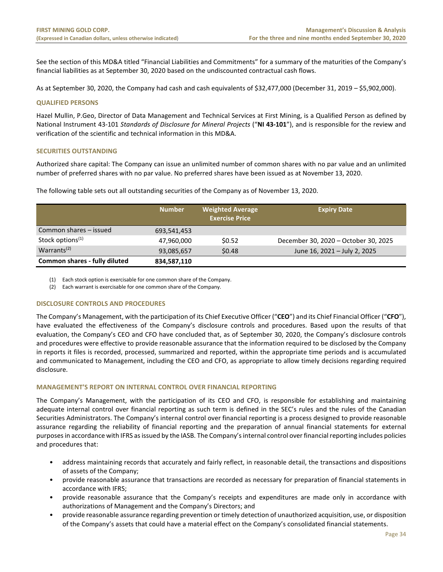See the section of this MD&A titled "Financial Liabilities and Commitments" for a summary of the maturities of the Company's financial liabilities as at September 30, 2020 based on the undiscounted contractual cash flows.

As at September 30, 2020, the Company had cash and cash equivalents of \$32,477,000 (December 31, 2019 – \$5,902,000).

#### <span id="page-34-0"></span>**QUALIFIED PERSONS**

Hazel Mullin, P.Geo, Director of Data Management and Technical Services at First Mining, is a Qualified Person as defined by National Instrument 43-101 *Standards of Disclosure for Mineral Projects* ("**NI 43-101**"), and is responsible for the review and verification of the scientific and technical information in this MD&A.

# <span id="page-34-1"></span>**SECURITIES OUTSTANDING**

Authorized share capital: The Company can issue an unlimited number of common shares with no par value and an unlimited number of preferred shares with no par value. No preferred shares have been issued as at November 13, 2020.

|                                      | <b>Number</b> | <b>Weighted Average</b><br><b>Exercise Price</b> | <b>Expiry Date</b>                   |
|--------------------------------------|---------------|--------------------------------------------------|--------------------------------------|
| Common shares - issued               | 693,541,453   |                                                  |                                      |
| Stock options <sup>(1)</sup>         | 47,960,000    | \$0.52                                           | December 30, 2020 - October 30, 2025 |
| Warrants <sup><math>(2)</math></sup> | 93,085,657    | \$0.48                                           | June 16, 2021 - July 2, 2025         |
| Common shares - fully diluted        | 834,587,110   |                                                  |                                      |

The following table sets out all outstanding securities of the Company as of November 13, 2020.

(1) Each stock option is exercisable for one common share of the Company.

(2) Each warrant is exercisable for one common share of the Company.

# **DISCLOSURE CONTROLS AND PROCEDURES**

The Company's Management, with the participation of its Chief Executive Officer ("**CEO**") and its Chief Financial Officer ("**CFO**"), have evaluated the effectiveness of the Company's disclosure controls and procedures. Based upon the results of that evaluation, the Company's CEO and CFO have concluded that, as of September 30, 2020, the Company's disclosure controls and procedures were effective to provide reasonable assurance that the information required to be disclosed by the Company in reports it files is recorded, processed, summarized and reported, within the appropriate time periods and is accumulated and communicated to Management, including the CEO and CFO, as appropriate to allow timely decisions regarding required disclosure.

# <span id="page-34-2"></span>**MANAGEMENT'S REPORT ON INTERNAL CONTROL OVER FINANCIAL REPORTING**

The Company's Management, with the participation of its CEO and CFO, is responsible for establishing and maintaining adequate internal control over financial reporting as such term is defined in the SEC's rules and the rules of the Canadian Securities Administrators. The Company's internal control over financial reporting is a process designed to provide reasonable assurance regarding the reliability of financial reporting and the preparation of annual financial statements for external purposes in accordance with IFRS as issued by the IASB. The Company's internal control over financial reporting includes policies and procedures that:

- address maintaining records that accurately and fairly reflect, in reasonable detail, the transactions and dispositions of assets of the Company;
- provide reasonable assurance that transactions are recorded as necessary for preparation of financial statements in accordance with IFRS;
- provide reasonable assurance that the Company's receipts and expenditures are made only in accordance with authorizations of Management and the Company's Directors; and
- provide reasonable assurance regarding prevention or timely detection of unauthorized acquisition, use, or disposition of the Company's assets that could have a material effect on the Company's consolidated financial statements.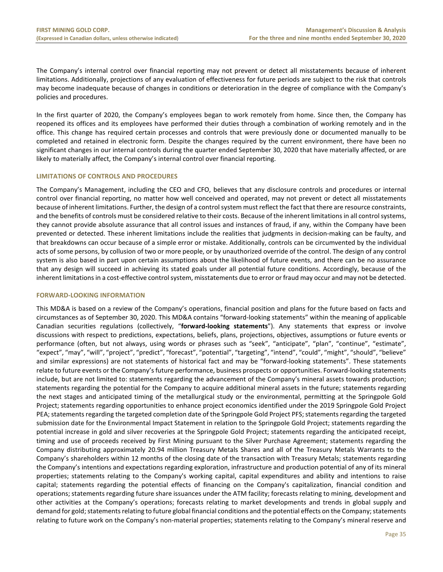The Company's internal control over financial reporting may not prevent or detect all misstatements because of inherent limitations. Additionally, projections of any evaluation of effectiveness for future periods are subject to the risk that controls may become inadequate because of changes in conditions or deterioration in the degree of compliance with the Company's policies and procedures.

In the first quarter of 2020, the Company's employees began to work remotely from home. Since then, the Company has reopened its offices and its employees have performed their duties through a combination of working remotely and in the office. This change has required certain processes and controls that were previously done or documented manually to be completed and retained in electronic form. Despite the changes required by the current environment, there have been no significant changes in our internal controls during the quarter ended September 30, 2020 that have materially affected, or are likely to materially affect, the Company's internal control over financial reporting.

# **LIMITATIONS OF CONTROLS AND PROCEDURES**

The Company's Management, including the CEO and CFO, believes that any disclosure controls and procedures or internal control over financial reporting, no matter how well conceived and operated, may not prevent or detect all misstatements because of inherent limitations. Further, the design of a control system must reflect the fact that there are resource constraints, and the benefits of controls must be considered relative to their costs. Because of the inherent limitations in all control systems, they cannot provide absolute assurance that all control issues and instances of fraud, if any, within the Company have been prevented or detected. These inherent limitations include the realities that judgments in decision-making can be faulty, and that breakdowns can occur because of a simple error or mistake. Additionally, controls can be circumvented by the individual acts of some persons, by collusion of two or more people, or by unauthorized override of the control. The design of any control system is also based in part upon certain assumptions about the likelihood of future events, and there can be no assurance that any design will succeed in achieving its stated goals under all potential future conditions. Accordingly, because of the inherent limitations in a cost-effective control system, misstatements due to error or fraud may occur and may not be detected.

#### <span id="page-35-0"></span>**FORWARD-LOOKING INFORMATION**

This MD&A is based on a review of the Company's operations, financial position and plans for the future based on facts and circumstances as of September 30, 2020. This MD&A contains "forward-looking statements" within the meaning of applicable Canadian securities regulations (collectively, "**forward-looking statements**"). Any statements that express or involve discussions with respect to predictions, expectations, beliefs, plans, projections, objectives, assumptions or future events or performance (often, but not always, using words or phrases such as "seek", "anticipate", "plan", "continue", "estimate", "expect", "may", "will", "project", "predict", "forecast", "potential", "targeting", "intend", "could", "might", "should", "believe" and similar expressions) are not statements of historical fact and may be "forward-looking statements". These statements relate to future events or the Company's future performance, business prospects or opportunities. Forward-looking statements include, but are not limited to: statements regarding the advancement of the Company's mineral assets towards production; statements regarding the potential for the Company to acquire additional mineral assets in the future; statements regarding the next stages and anticipated timing of the metallurgical study or the environmental, permitting at the Springpole Gold Project; statements regarding opportunities to enhance project economics identified under the 2019 Springpole Gold Project PEA; statements regarding the targeted completion date of the Springpole Gold Project PFS; statements regarding the targeted submission date for the Environmental Impact Statement in relation to the Springpole Gold Project; statements regarding the potential increase in gold and silver recoveries at the Springpole Gold Project; statements regarding the anticipated receipt, timing and use of proceeds received by First Mining pursuant to the Silver Purchase Agreement; statements regarding the Company distributing approximately 20.94 million Treasury Metals Shares and all of the Treasury Metals Warrants to the Company's shareholders within 12 months of the closing date of the transaction with Treasury Metals; statements regarding the Company's intentions and expectations regarding exploration, infrastructure and production potential of any of its mineral properties; statements relating to the Company's working capital, capital expenditures and ability and intentions to raise capital; statements regarding the potential effects of financing on the Company's capitalization, financial condition and operations; statements regarding future share issuances under the ATM facility; forecasts relating to mining, development and other activities at the Company's operations; forecasts relating to market developments and trends in global supply and demand for gold; statements relating to future global financial conditions and the potential effects on the Company; statements relating to future work on the Company's non-material properties; statements relating to the Company's mineral reserve and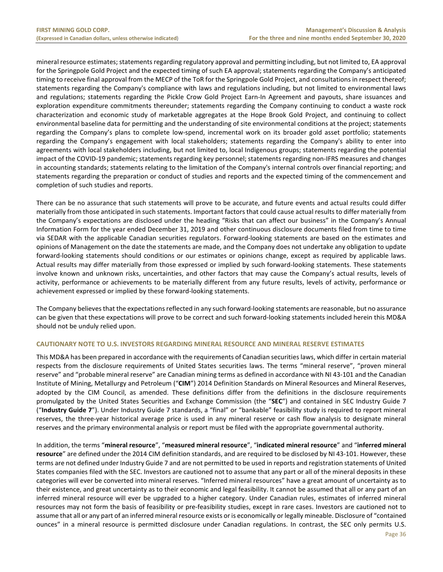mineral resource estimates; statements regarding regulatory approval and permitting including, but not limited to, EA approval for the Springpole Gold Project and the expected timing of such EA approval; statements regarding the Company's anticipated timing to receive final approval from the MECP of the ToR for the Springpole Gold Project, and consultations in respect thereof; statements regarding the Company's compliance with laws and regulations including, but not limited to environmental laws and regulations; statements regarding the Pickle Crow Gold Project Earn-In Agreement and payouts, share issuances and exploration expenditure commitments thereunder; statements regarding the Company continuing to conduct a waste rock characterization and economic study of marketable aggregates at the Hope Brook Gold Project, and continuing to collect environmental baseline data for permitting and the understanding of site environmental conditions at the project; statements regarding the Company's plans to complete low-spend, incremental work on its broader gold asset portfolio; statements regarding the Company's engagement with local stakeholders; statements regarding the Company's ability to enter into agreements with local stakeholders including, but not limited to, local Indigenous groups; statements regarding the potential impact of the COVID-19 pandemic; statements regarding key personnel; statements regarding non-IFRS measures and changes in accounting standards; statements relating to the limitation of the Company's internal controls over financial reporting; and statements regarding the preparation or conduct of studies and reports and the expected timing of the commencement and completion of such studies and reports.

There can be no assurance that such statements will prove to be accurate, and future events and actual results could differ materially from those anticipated in such statements. Important factors that could cause actual results to differ materially from the Company's expectations are disclosed under the heading "Risks that can affect our business" in the Company's Annual Information Form for the year ended December 31, 2019 and other continuous disclosure documents filed from time to time via SEDAR with the applicable Canadian securities regulators. Forward-looking statements are based on the estimates and opinions of Management on the date the statements are made, and the Company does not undertake any obligation to update forward-looking statements should conditions or our estimates or opinions change, except as required by applicable laws. Actual results may differ materially from those expressed or implied by such forward-looking statements. These statements involve known and unknown risks, uncertainties, and other factors that may cause the Company's actual results, levels of activity, performance or achievements to be materially different from any future results, levels of activity, performance or achievement expressed or implied by these forward-looking statements.

The Company believes that the expectations reflected in any such forward-looking statements are reasonable, but no assurance can be given that these expectations will prove to be correct and such forward-looking statements included herein this MD&A should not be unduly relied upon.

# <span id="page-36-0"></span>**CAUTIONARY NOTE TO U.S. INVESTORS REGARDING MINERAL RESOURCE AND MINERAL RESERVE ESTIMATES**

This MD&A has been prepared in accordance with the requirements of Canadian securities laws, which differ in certain material respects from the disclosure requirements of United States securities laws. The terms "mineral reserve", "proven mineral reserve" and "probable mineral reserve" are Canadian mining terms as defined in accordance with NI 43-101 and the Canadian Institute of Mining, Metallurgy and Petroleum ("**CIM**") 2014 Definition Standards on Mineral Resources and Mineral Reserves, adopted by the CIM Council, as amended. These definitions differ from the definitions in the disclosure requirements promulgated by the United States Securities and Exchange Commission (the "**SEC**") and contained in SEC Industry Guide 7 ("**Industry Guide 7**"). Under Industry Guide 7 standards, a "final" or "bankable" feasibility study is required to report mineral reserves, the three-year historical average price is used in any mineral reserve or cash flow analysis to designate mineral reserves and the primary environmental analysis or report must be filed with the appropriate governmental authority.

In addition, the terms "**mineral resource**", "**measured mineral resource**", "**indicated mineral resource**" and "**inferred mineral resource**" are defined under the 2014 CIM definition standards, and are required to be disclosed by NI 43-101. However, these terms are not defined under Industry Guide 7 and are not permitted to be used in reports and registration statements of United States companies filed with the SEC. Investors are cautioned not to assume that any part or all of the mineral deposits in these categories will ever be converted into mineral reserves. "Inferred mineral resources" have a great amount of uncertainty as to their existence, and great uncertainty as to their economic and legal feasibility. It cannot be assumed that all or any part of an inferred mineral resource will ever be upgraded to a higher category. Under Canadian rules, estimates of inferred mineral resources may not form the basis of feasibility or pre-feasibility studies, except in rare cases. Investors are cautioned not to assume that all or any part of an inferred mineral resource exists or is economically or legally mineable. Disclosure of "contained ounces" in a mineral resource is permitted disclosure under Canadian regulations. In contrast, the SEC only permits U.S.